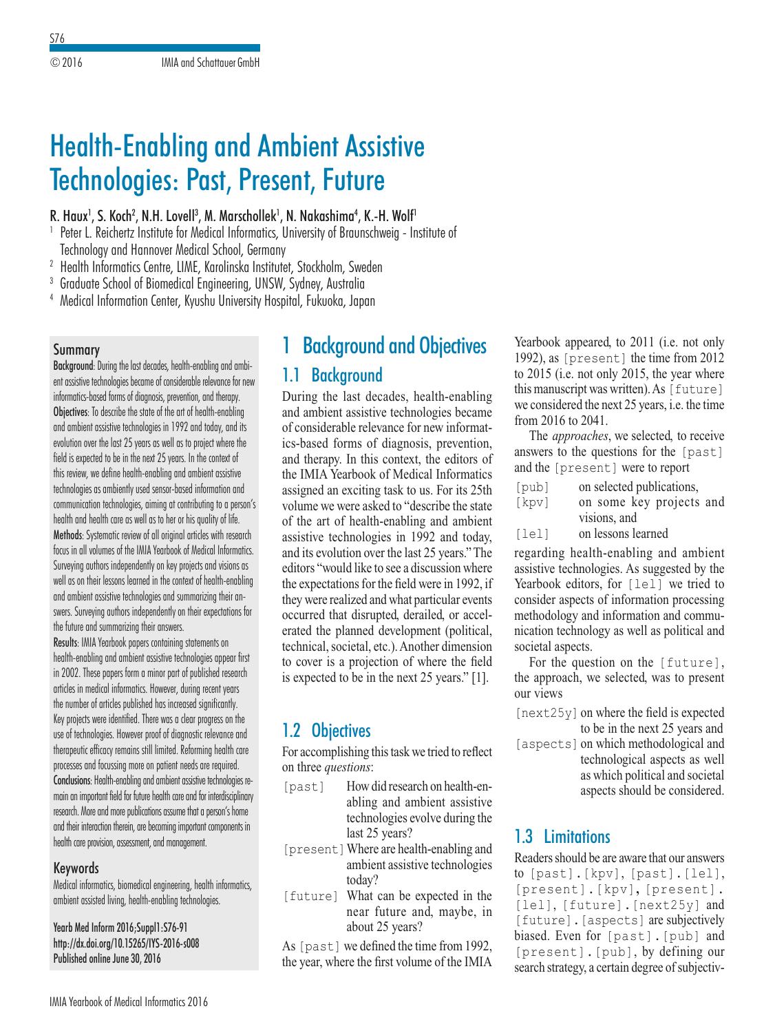# Health-Enabling and Ambient Assistive Technologies: Past, Present, Future

#### R. Haux<sup>1</sup>, S. Koch<sup>2</sup>, N.H. Lovell<sup>3</sup>, M. Marschollek<sup>1</sup>, N. Nakashima<sup>4</sup>, K.-H. Wolf<sup>1</sup>

- <sup>1</sup> Peter L. Reichertz Institute for Medical Informatics, University of Braunschweig Institute of Technology and Hannover Medical School, Germany
- <sup>2</sup> Health Informatics Centre, LIME, Karolinska Institutet, Stockholm, Sweden
- <sup>3</sup> Graduate School of Biomedical Engineering, UNSW, Sydney, Australia
- <sup>4</sup> Medical Information Center, Kyushu University Hospital, Fukuoka, Japan

#### Summary

Background: During the last decades, health-enabling and ambient assistive technologies became of considerable relevance for new informatics-based forms of diagnosis, prevention, and therapy. Objectives: To describe the state of the art of health-enabling and ambient assistive technologies in 1992 and today, and its evolution over the last 25 years as well as to project where the field is expected to be in the next 25 years. In the context of this review, we define health-enabling and ambient assistive technologies as ambiently used sensor-based information and communication technologies, aiming at contributing to a person's health and health care as well as to her or his quality of life. Methods: Systematic review of all original articles with research focus in all volumes of the IMIA Yearbook of Medical Informatics. Surveying authors independently on key projects and visions as well as on their lessons learned in the context of health-enabling and ambient assistive technologies and summarizing their answers. Surveying authors independently on their expectations for the future and summarizing their answers.

Results: IMIA Yearbook papers containing statements on health-enabling and ambient assistive technologies appear first in 2002. These papers form a minor part of published research articles in medical informatics. However, during recent years the number of articles published has increased significantly. Key projects were identified. There was a clear progress on the use of technologies. However proof of diagnostic relevance and therapeutic efficacy remains still limited. Reforming health care processes and focussing more on patient needs are required. Conclusions: Health-enabling and ambient assistive technologies remain an important field for future health care and for interdisciplinary research. More and more publications assume that a person's home and their interaction therein, are becoming important components in health care provision, assessment, and management.

### Keywords

Medical informatics, biomedical engineering, health informatics, ambient assisted living, health-enabling technologies.

Yearb Med Inform 2016;Suppl1:S76-91 http://dx.doi.org/10.15265/IYS-2016-s008 Published online June 30, 2016

## **Background and Objectives**

### 1.1 Background

During the last decades, health-enabling and ambient assistive technologies became of considerable relevance for new informatics-based forms of diagnosis, prevention, and therapy. In this context, the editors of the IMIA Yearbook of Medical Informatics assigned an exciting task to us. For its 25th volume we were asked to "describe the state of the art of health-enabling and ambient assistive technologies in 1992 and today, and its evolution over the last 25 years." The editors "would like to see a discussion where the expectations for the field were in 1992, if they were realized and what particular events occurred that disrupted, derailed, or accelerated the planned development (political, technical, societal, etc.). Another dimension to cover is a projection of where the field is expected to be in the next 25 years." [1].

## 1.2 Objectives

For accomplishing this task we tried to reflect on three *questions*:

- [past] How did research on health-enabling and ambient assistive technologies evolve during the last 25 years?
- [present]Where are health-enabling and ambient assistive technologies today?
- [future] What can be expected in the near future and, maybe, in about 25 years?

As [past] we defined the time from 1992, the year, where the first volume of the IMIA Yearbook appeared, to 2011 (i.e. not only 1992), as [present] the time from 2012 to 2015 (i.e. not only 2015, the year where this manuscript was written). As [future] we considered the next 25 years, i.e. the time from 2016 to 2041.

The *approaches*, we selected, to receive answers to the questions for the [past] and the [present] were to report

| [pub] | on selected publications, |
|-------|---------------------------|
| [kpv] | on some key projects and  |
|       | visions, and              |
| [let] | on lessons learned        |

regarding health-enabling and ambient assistive technologies. As suggested by the Yearbook editors, for [lel] we tried to consider aspects of information processing methodology and information and communication technology as well as political and societal aspects.

For the question on the [future], the approach, we selected, was to present our views

- [next25y]on where the field is expected to be in the next 25 years and
- [aspects] on which methodological and technological aspects as well as which political and societal aspects should be considered.

## 1.3 Limitations

Readers should be are aware that our answers to [past].[kpv], [past].[lel], [present].[kpv]**,** [present]. [lel], [future].[next25y] and [future]. [aspects] are subjectively biased. Even for [past].[pub] and [present].[pub], by defining our search strategy, a certain degree of subjectiv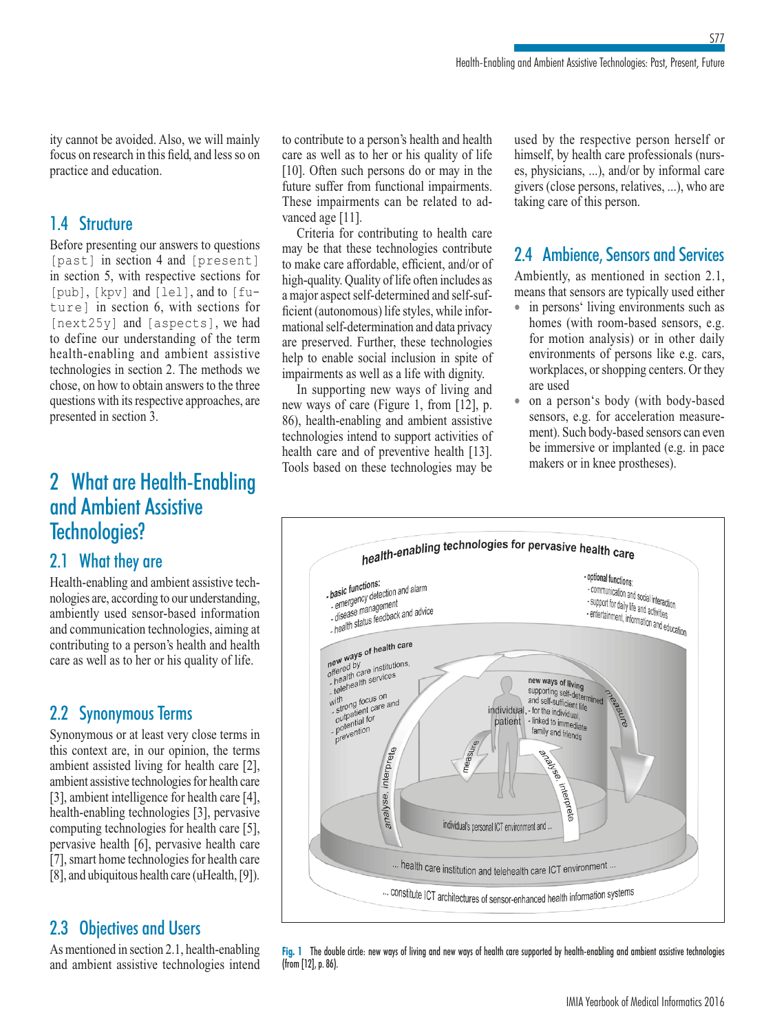ity cannot be avoided. Also, we will mainly focus on research in this field, and less so on practice and education.

## 1.4 Structure

Before presenting our answers to questions [past] in section 4 and [present] in section 5, with respective sections for [pub], [kpv] and [lel], and to [future] in section 6, with sections for [next25y] and [aspects], we had to define our understanding of the term health-enabling and ambient assistive technologies in section 2. The methods we chose, on how to obtain answers to the three questions with its respective approaches, are presented in section 3.

## 2 What are Health-Enabling and Ambient Assistive Technologies?

## 2.1 What they are

Health-enabling and ambient assistive technologies are, according to our understanding, ambiently used sensor-based information and communication technologies, aiming at contributing to a person's health and health care as well as to her or his quality of life.

## 2.2 Synonymous Terms

Synonymous or at least very close terms in this context are, in our opinion, the terms ambient assisted living for health care [2], ambient assistive technologies for health care [3], ambient intelligence for health care [4], health-enabling technologies [3], pervasive computing technologies for health care [5], pervasive health [6], pervasive health care [7], smart home technologies for health care [8], and ubiquitous health care (uHealth, [9]).

## 2.3 Objectives and Users

As mentioned in section 2.1, health-enabling and ambient assistive technologies intend to contribute to a person's health and health care as well as to her or his quality of life [10]. Often such persons do or may in the future suffer from functional impairments. These impairments can be related to advanced age [11].

Criteria for contributing to health care may be that these technologies contribute to make care affordable, efficient, and/or of high-quality. Quality of life often includes as a major aspect self-determined and self-sufficient (autonomous) life styles, while informational self-determination and data privacy are preserved. Further, these technologies help to enable social inclusion in spite of impairments as well as a life with dignity.

In supporting new ways of living and new ways of care (Figure 1, from [12], p. 86), health-enabling and ambient assistive technologies intend to support activities of health care and of preventive health [13]. Tools based on these technologies may be

used by the respective person herself or himself, by health care professionals (nurses, physicians, ...), and/or by informal care givers (close persons, relatives, ...), who are taking care of this person.

## 2.4 Ambience, Sensors and Services

Ambiently, as mentioned in section 2.1, means that sensors are typically used either

- in persons' living environments such as homes (with room-based sensors, e.g. for motion analysis) or in other daily environments of persons like e.g. cars, workplaces, or shopping centers. Or they are used
- on a person's body (with body-based sensors, e.g. for acceleration measurement). Such body-based sensors can even be immersive or implanted (e.g. in pace makers or in knee prostheses).



**Fig. 1** The double circle: new ways of living and new ways of health care supported by health-enabling and ambient assistive technologies (from [12], p. 86).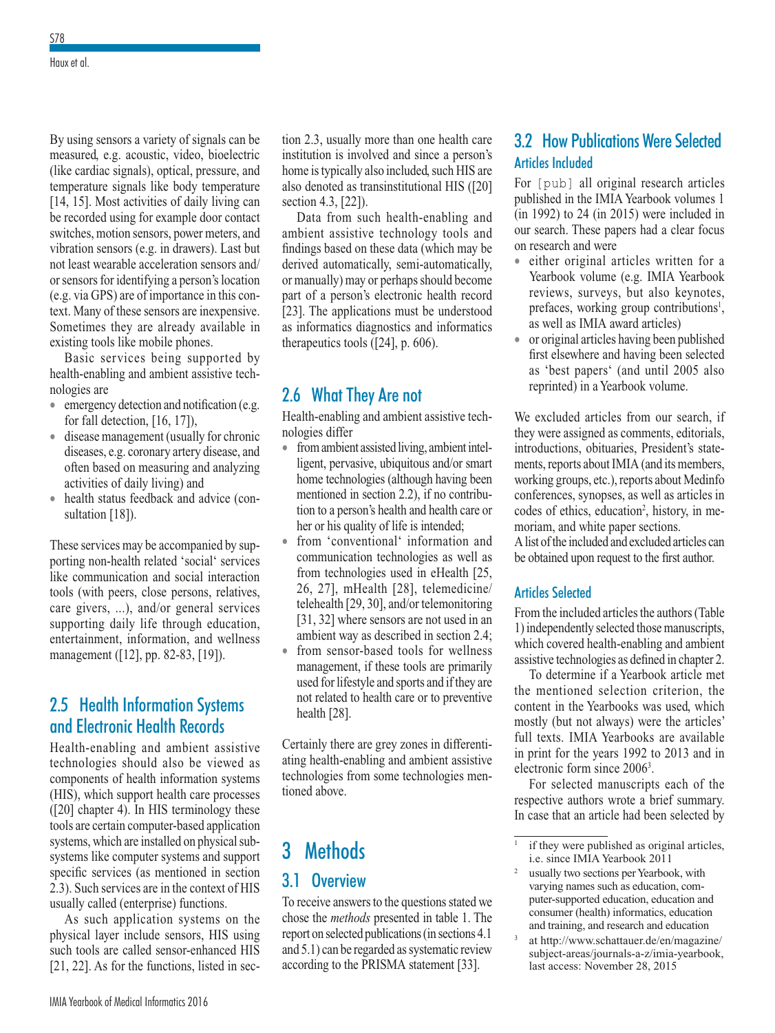By using sensors a variety of signals can be measured, e.g. acoustic, video, bioelectric (like cardiac signals), optical, pressure, and temperature signals like body temperature [14, 15]. Most activities of daily living can be recorded using for example door contact switches, motion sensors, power meters, and vibration sensors (e.g. in drawers). Last but not least wearable acceleration sensors and/ or sensors for identifying a person's location (e.g. via GPS) are of importance in this context. Many of these sensors are inexpensive. Sometimes they are already available in existing tools like mobile phones.

Basic services being supported by health-enabling and ambient assistive technologies are

- emergency detection and notification (e.g. for fall detection, [16, 17]),
- disease management (usually for chronic diseases, e.g. coronary artery disease, and often based on measuring and analyzing activities of daily living) and
- health status feedback and advice (consultation [18]).

These services may be accompanied by supporting non-health related 'social' services like communication and social interaction tools (with peers, close persons, relatives, care givers, ...), and/or general services supporting daily life through education, entertainment, information, and wellness management ([12], pp. 82-83, [19]).

### 2.5 Health Information Systems and Electronic Health Records

Health-enabling and ambient assistive technologies should also be viewed as components of health information systems (HIS), which support health care processes ([20] chapter 4). In HIS terminology these tools are certain computer-based application systems, which are installed on physical subsystems like computer systems and support specific services (as mentioned in section 2.3). Such services are in the context of HIS usually called (enterprise) functions.

As such application systems on the physical layer include sensors, HIS using such tools are called sensor-enhanced HIS [21, 22]. As for the functions, listed in section 2.3, usually more than one health care institution is involved and since a person's home is typically also included, such HIS are also denoted as transinstitutional HIS ([20] section 4.3, [22]).

Data from such health-enabling and ambient assistive technology tools and findings based on these data (which may be derived automatically, semi-automatically, or manually) may or perhaps should become part of a person's electronic health record [23]. The applications must be understood as informatics diagnostics and informatics therapeutics tools ([24], p. 606).

### 2.6 What They Are not

Health-enabling and ambient assistive technologies differ

- from ambient assisted living, ambient intelligent, pervasive, ubiquitous and/or smart home technologies (although having been mentioned in section 2.2), if no contribution to a person's health and health care or her or his quality of life is intended;
- from 'conventional' information and communication technologies as well as from technologies used in eHealth [25, 26, 27], mHealth [28], telemedicine/ telehealth [29, 30], and/or telemonitoring [31, 32] where sensors are not used in an ambient way as described in section 2.4;
- from sensor-based tools for wellness management, if these tools are primarily used for lifestyle and sports and if they are not related to health care or to preventive health [28].

Certainly there are grey zones in differentiating health-enabling and ambient assistive technologies from some technologies mentioned above.

## 3 Methods

### 3.1 Overview

To receive answers to the questions stated we chose the *methods* presented in table 1. The report on selected publications (in sections 4.1 and 5.1) can be regarded as systematic review according to the PRISMA statement [33].

## 3.2 How Publications Were Selected Articles Included

For [pub] all original research articles published in the IMIA Yearbook volumes 1 (in 1992) to 24 (in 2015) were included in our search. These papers had a clear focus on research and were

- either original articles written for a Yearbook volume (e.g. IMIA Yearbook reviews, surveys, but also keynotes, prefaces, working group contributions<sup>1</sup>, as well as IMIA award articles)
- or original articles having been published first elsewhere and having been selected as 'best papers' (and until 2005 also reprinted) in a Yearbook volume.

We excluded articles from our search, if they were assigned as comments, editorials, introductions, obituaries, President's statements, reports about IMIA (and its members, working groups, etc.), reports about Medinfo conferences, synopses, as well as articles in codes of ethics, education<sup>2</sup>, history, in memoriam, and white paper sections.

A list of the included and excluded articles can be obtained upon request to the first author.

#### Articles Selected

From the included articles the authors (Table 1) independently selected those manuscripts, which covered health-enabling and ambient assistive technologies as defined in chapter 2.

To determine if a Yearbook article met the mentioned selection criterion, the content in the Yearbooks was used, which mostly (but not always) were the articles' full texts. IMIA Yearbooks are available in print for the years 1992 to 2013 and in electronic form since 2006<sup>3</sup>.

For selected manuscripts each of the respective authors wrote a brief summary. In case that an article had been selected by

if they were published as original articles, i.e. since IMIA Yearbook 2011

<sup>2</sup> usually two sections per Yearbook, with varying names such as education, computer-supported education, education and consumer (health) informatics, education and training, and research and education

at http://www.schattauer.de/en/magazine/ subject-areas/journals-a-z/imia-yearbook, last access: November 28, 2015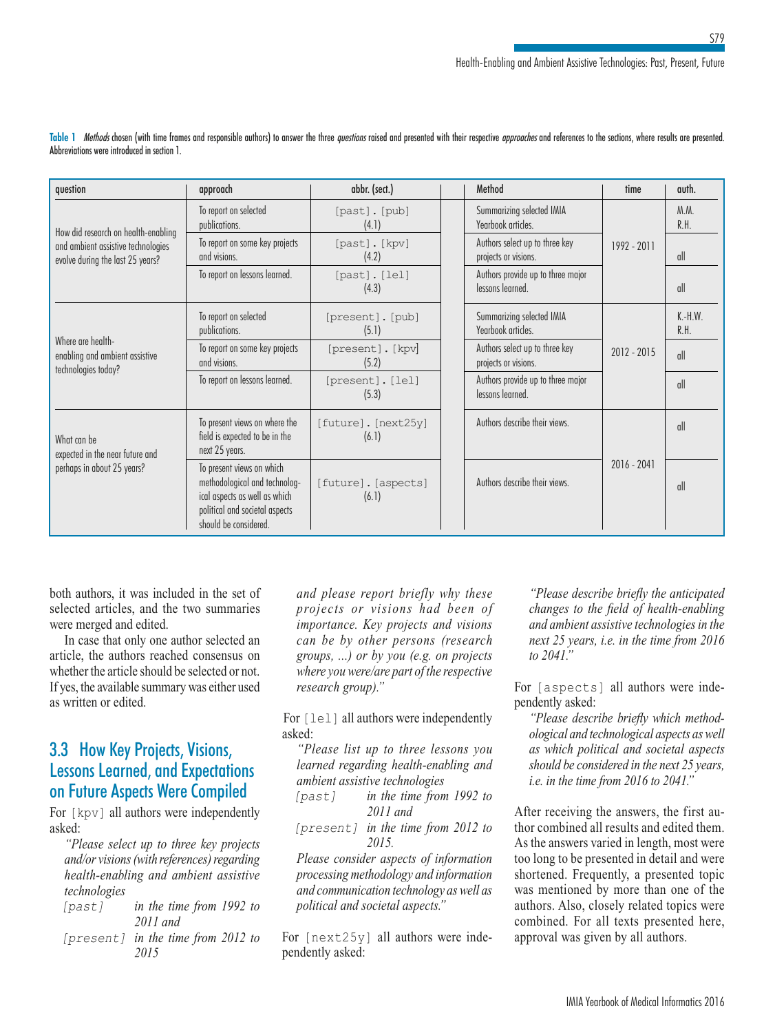| question                                                               | approach                                                                                                                                                                                                                                                                                                                                                                                                                                                                                                                                                                                                                                                         | abbr. (sect.)                |     | Method                                                 | time           | auth.             |
|------------------------------------------------------------------------|------------------------------------------------------------------------------------------------------------------------------------------------------------------------------------------------------------------------------------------------------------------------------------------------------------------------------------------------------------------------------------------------------------------------------------------------------------------------------------------------------------------------------------------------------------------------------------------------------------------------------------------------------------------|------------------------------|-----|--------------------------------------------------------|----------------|-------------------|
| How did research on health-enabling                                    | To report on selected<br>publications.                                                                                                                                                                                                                                                                                                                                                                                                                                                                                                                                                                                                                           | [past]. [pub]<br>(4.1)       |     | Summarizing selected IMIA<br>Yearbook articles.        |                | M.M.<br>R.H.      |
| and ambient assistive technologies<br>evolve during the last 25 years? | To report on some key projects<br>and visions.                                                                                                                                                                                                                                                                                                                                                                                                                                                                                                                                                                                                                   | [past]. [kpv]<br>(4.2)       |     | Authors select up to three key<br>projects or visions. | 1992 - 2011    | all               |
|                                                                        | To report on lessons learned.<br>Authors provide up to three major<br>[past]. [lel]<br>lessons learned.<br>(4.3)<br>Summarizing selected IMIA<br>To report on selected<br>[present]. [pub]<br>Yearbook articles.<br>(5.1)<br>publications.<br>To report on some key projects<br>Authors select up to three key<br>[present]. [kpv]<br>and visions.<br>(5.2)<br>projects or visions.<br>To report on lessons learned.<br>Authors provide up to three major<br>[present]. [lel]<br>lessons learned.<br>(5.3)<br>Authors describe their views.<br>To present views on where the<br>[future]. [next25y]<br>field is expected to be in the<br>(6.1)<br>next 25 years. |                              | all |                                                        |                |                   |
| Where are health-                                                      |                                                                                                                                                                                                                                                                                                                                                                                                                                                                                                                                                                                                                                                                  |                              |     |                                                        |                | $K.-H.W.$<br>R.H. |
| enabling and ambient assistive<br>technologies today?                  |                                                                                                                                                                                                                                                                                                                                                                                                                                                                                                                                                                                                                                                                  |                              |     |                                                        | $2012 - 2015$  | all               |
|                                                                        |                                                                                                                                                                                                                                                                                                                                                                                                                                                                                                                                                                                                                                                                  |                              |     |                                                        | $\mathfrak{m}$ |                   |
| What can be<br>expected in the near future and                         |                                                                                                                                                                                                                                                                                                                                                                                                                                                                                                                                                                                                                                                                  |                              |     |                                                        |                | $\frac{1}{2}$     |
| perhaps in about 25 years?                                             | To present views on which<br>methodological and technolog-<br>ical aspects as well as which<br>political and societal aspects<br>should be considered.                                                                                                                                                                                                                                                                                                                                                                                                                                                                                                           | [future]. [aspects]<br>(6.1) |     | Authors describe their views.                          | $2016 - 2041$  | all               |

Table 1 Methods chosen (with time frames and responsible authors) to answer the three questions raised and presented with their respective approaches and references to the sections, where results are presented. Abbreviations were introduced in section 1.

both authors, it was included in the set of selected articles, and the two summaries were merged and edited.

In case that only one author selected an article, the authors reached consensus on whether the article should be selected or not. If yes, the available summary was either used as written or edited.

### 3.3 How Key Projects, Visions, Lessons Learned, and Expectations on Future Aspects Were Compiled

For [kpv] all authors were independently asked:

*"Please select up to three key projects and/or visions (with references) regarding health-enabling and ambient assistive technologies* 

- *[past] in the time from 1992 to 2011 and*
- *[present] in the time from 2012 to 2015*

*and please report briefly why these projects or visions had been of importance. Key projects and visions can be by other persons (research groups, ...) or by you (e.g. on projects where you were/are part of the respective research group)."* 

For [lel] all authors were independently asked:

*"Please list up to three lessons you learned regarding health-enabling and ambient assistive technologies* 

- *[past] in the time from 1992 to 2011 and*
- *[present] in the time from 2012 to 2015.*

*Please consider aspects of information processing methodology and information and communication technology as well as political and societal aspects."*

For [next25y] all authors were independently asked:

*"Please describe briefly the anticipated changes to the field of health-enabling and ambient assistive technologies in the next 25 years, i.e. in the time from 2016 to 2041."* 

For [aspects] all authors were independently asked:

*"Please describe briefly which methodological and technological aspects as well as which political and societal aspects should be considered in the next 25 years, i.e. in the time from 2016 to 2041."* 

After receiving the answers, the first author combined all results and edited them. As the answers varied in length, most were too long to be presented in detail and were shortened. Frequently, a presented topic was mentioned by more than one of the authors. Also, closely related topics were combined. For all texts presented here, approval was given by all authors.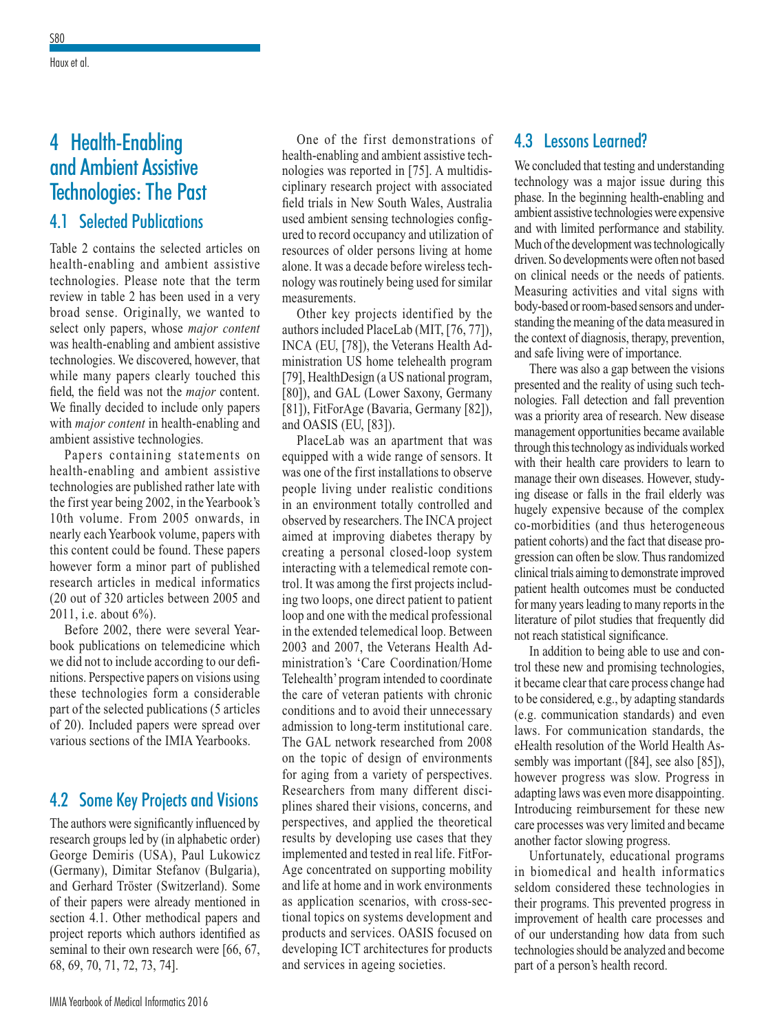## 4 Health-Enabling and Ambient Assistive Technologies: The Past 4.1 Selected Publications

Table 2 contains the selected articles on health-enabling and ambient assistive technologies. Please note that the term review in table 2 has been used in a very broad sense. Originally, we wanted to select only papers, whose *major content* was health-enabling and ambient assistive technologies. We discovered, however, that while many papers clearly touched this field, the field was not the *major* content. We finally decided to include only papers with *major content* in health-enabling and ambient assistive technologies.

Papers containing statements on health-enabling and ambient assistive technologies are published rather late with the first year being 2002, in the Yearbook's 10th volume. From 2005 onwards, in nearly each Yearbook volume, papers with this content could be found. These papers however form a minor part of published research articles in medical informatics (20 out of 320 articles between 2005 and 2011, i.e. about 6%).

Before 2002, there were several Yearbook publications on telemedicine which we did not to include according to our definitions. Perspective papers on visions using these technologies form a considerable part of the selected publications (5 articles of 20). Included papers were spread over various sections of the IMIA Yearbooks.

### 4.2 Some Key Projects and Visions

The authors were significantly influenced by research groups led by (in alphabetic order) George Demiris (USA), Paul Lukowicz (Germany), Dimitar Stefanov (Bulgaria), and Gerhard Tröster (Switzerland). Some of their papers were already mentioned in section 4.1. Other methodical papers and project reports which authors identified as seminal to their own research were [66, 67, 68, 69, 70, 71, 72, 73, 74].

One of the first demonstrations of health-enabling and ambient assistive technologies was reported in [75]. A multidisciplinary research project with associated field trials in New South Wales, Australia used ambient sensing technologies configured to record occupancy and utilization of resources of older persons living at home alone. It was a decade before wireless technology was routinely being used for similar measurements.

Other key projects identified by the authors included PlaceLab (MIT, [76, 77]), INCA (EU, [78]), the Veterans Health Administration US home telehealth program [79], HealthDesign (a US national program, [80]), and GAL (Lower Saxony, Germany [81]), FitForAge (Bavaria, Germany [82]), and OASIS (EU, [83]).

PlaceLab was an apartment that was equipped with a wide range of sensors. It was one of the first installations to observe people living under realistic conditions in an environment totally controlled and observed by researchers. The INCA project aimed at improving diabetes therapy by creating a personal closed-loop system interacting with a telemedical remote control. It was among the first projects including two loops, one direct patient to patient loop and one with the medical professional in the extended telemedical loop. Between 2003 and 2007, the Veterans Health Administration's 'Care Coordination/Home Telehealth' program intended to coordinate the care of veteran patients with chronic conditions and to avoid their unnecessary admission to long-term institutional care. The GAL network researched from 2008 on the topic of design of environments for aging from a variety of perspectives. Researchers from many different disciplines shared their visions, concerns, and perspectives, and applied the theoretical results by developing use cases that they implemented and tested in real life. FitFor-Age concentrated on supporting mobility and life at home and in work environments as application scenarios, with cross-sectional topics on systems development and products and services. OASIS focused on developing ICT architectures for products and services in ageing societies.

### 4.3 Lessons Learned?

We concluded that testing and understanding technology was a major issue during this phase. In the beginning health-enabling and ambient assistive technologies were expensive and with limited performance and stability. Much of the development was technologically driven. So developments were often not based on clinical needs or the needs of patients. Measuring activities and vital signs with body-based or room-based sensors and understanding the meaning of the data measured in the context of diagnosis, therapy, prevention, and safe living were of importance.

There was also a gap between the visions presented and the reality of using such technologies. Fall detection and fall prevention was a priority area of research. New disease management opportunities became available through this technology as individuals worked with their health care providers to learn to manage their own diseases. However, studying disease or falls in the frail elderly was hugely expensive because of the complex co-morbidities (and thus heterogeneous patient cohorts) and the fact that disease progression can often be slow. Thus randomized clinical trials aiming to demonstrate improved patient health outcomes must be conducted for many years leading to many reports in the literature of pilot studies that frequently did not reach statistical significance.

In addition to being able to use and control these new and promising technologies, it became clear that care process change had to be considered, e.g., by adapting standards (e.g. communication standards) and even laws. For communication standards, the eHealth resolution of the World Health Assembly was important ([84], see also [85]), however progress was slow. Progress in adapting laws was even more disappointing. Introducing reimbursement for these new care processes was very limited and became another factor slowing progress.

Unfortunately, educational programs in biomedical and health informatics seldom considered these technologies in their programs. This prevented progress in improvement of health care processes and of our understanding how data from such technologies should be analyzed and become part of a person's health record.

Haux et al.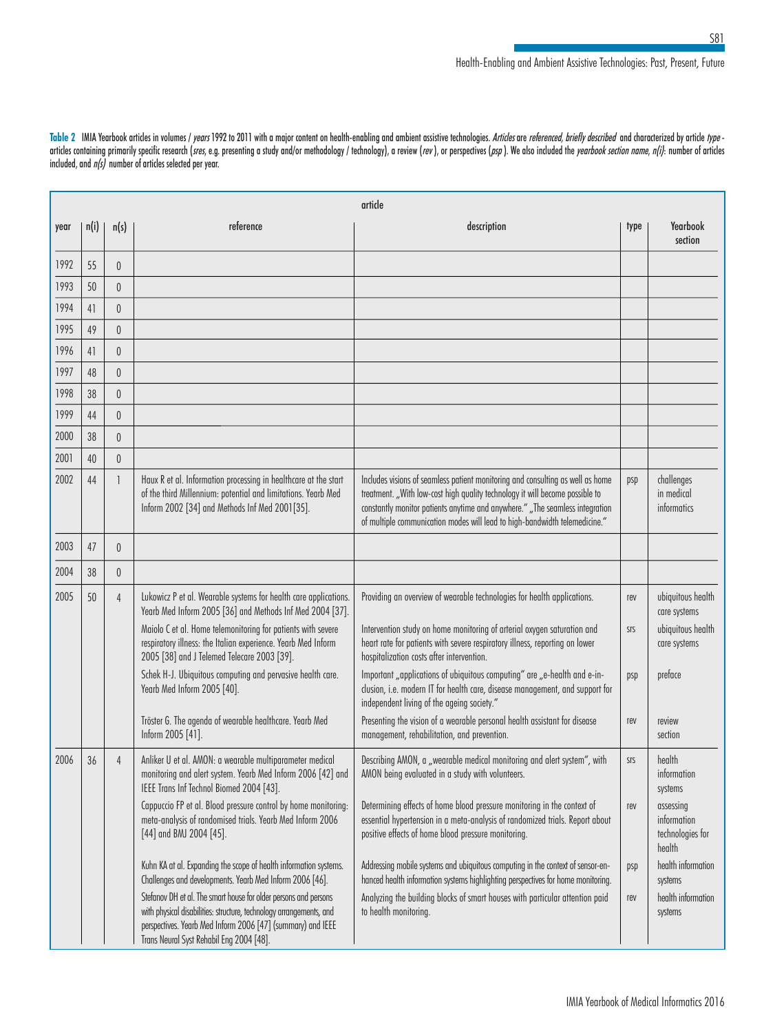Table 2 IMIA Yearbook articles in volumes / years 1992 to 2011 with a major content on health-enabling and ambient assistive technologies. Articles are referenced, briefly described and characterized by article type articles containing primarily specific research (sres, e.g. presenting a study and/or methodology / technology), a review (rev), or perspectives (psp). We also included the yearbook section name, n(i): number of articles included, and  $n(s)$  number of articles selected per year.

|      | article |                |                                                                                                                                                                                                                                                    |                                                                                                                                                                                                                                                                                                                              |            |                                                        |  |
|------|---------|----------------|----------------------------------------------------------------------------------------------------------------------------------------------------------------------------------------------------------------------------------------------------|------------------------------------------------------------------------------------------------------------------------------------------------------------------------------------------------------------------------------------------------------------------------------------------------------------------------------|------------|--------------------------------------------------------|--|
| year | n(i)    | n(s)           | reference                                                                                                                                                                                                                                          | description                                                                                                                                                                                                                                                                                                                  | type       | Yearbook<br>section                                    |  |
| 1992 | 55      | $\theta$       |                                                                                                                                                                                                                                                    |                                                                                                                                                                                                                                                                                                                              |            |                                                        |  |
| 1993 | 50      | $\theta$       |                                                                                                                                                                                                                                                    |                                                                                                                                                                                                                                                                                                                              |            |                                                        |  |
| 1994 | 41      | $\theta$       |                                                                                                                                                                                                                                                    |                                                                                                                                                                                                                                                                                                                              |            |                                                        |  |
| 1995 | 49      | $\theta$       |                                                                                                                                                                                                                                                    |                                                                                                                                                                                                                                                                                                                              |            |                                                        |  |
| 1996 | 41      | $\theta$       |                                                                                                                                                                                                                                                    |                                                                                                                                                                                                                                                                                                                              |            |                                                        |  |
| 1997 | 48      | $\theta$       |                                                                                                                                                                                                                                                    |                                                                                                                                                                                                                                                                                                                              |            |                                                        |  |
| 1998 | 38      | $\theta$       |                                                                                                                                                                                                                                                    |                                                                                                                                                                                                                                                                                                                              |            |                                                        |  |
| 1999 | 44      | $\theta$       |                                                                                                                                                                                                                                                    |                                                                                                                                                                                                                                                                                                                              |            |                                                        |  |
| 2000 | 38      | $\theta$       |                                                                                                                                                                                                                                                    |                                                                                                                                                                                                                                                                                                                              |            |                                                        |  |
| 2001 | 40      | $\theta$       |                                                                                                                                                                                                                                                    |                                                                                                                                                                                                                                                                                                                              |            |                                                        |  |
| 2002 | 44      |                | Haux R et al. Information processing in healthcare at the start<br>of the third Millennium: potential and limitations. Yearb Med<br>Inform 2002 [34] and Methods Inf Med 2001[35].                                                                 | Includes visions of seamless patient monitoring and consulting as well as home<br>treatment. "With low-cost high quality technology it will become possible to<br>constantly monitor patients anytime and anywhere." "The seamless integration<br>of multiple communication modes will lead to high-bandwidth telemedicine." | psp        | challenges<br>in medical<br>informatics                |  |
| 2003 | 47      | $\theta$       |                                                                                                                                                                                                                                                    |                                                                                                                                                                                                                                                                                                                              |            |                                                        |  |
| 2004 | 38      | $\theta$       |                                                                                                                                                                                                                                                    |                                                                                                                                                                                                                                                                                                                              |            |                                                        |  |
| 2005 | 50      | $\overline{4}$ | Lukowicz P et al. Wearable systems for health care applications.<br>Yearb Med Inform 2005 [36] and Methods Inf Med 2004 [37].                                                                                                                      | Providing an overview of wearable technologies for health applications.                                                                                                                                                                                                                                                      | rev        | ubiquitous health<br>care systems                      |  |
|      |         |                | Maiolo C et al. Home telemonitoring for patients with severe<br>respiratory illness: the Italian experience. Yearb Med Inform<br>2005 [38] and J Telemed Telecare 2003 [39].                                                                       | Intervention study on home monitoring of arterial oxygen saturation and<br>heart rate for patients with severe respiratory illness, reporting on lower<br>hospitalization costs after intervention.                                                                                                                          | <b>SIS</b> | ubiquitous health<br>care systems                      |  |
|      |         |                | Schek H-J. Ubiquitous computing and pervasive health care.<br>Yearb Med Inform 2005 [40].                                                                                                                                                          | Important "applications of ubiquitous computing" are "e-health and e-in-<br>clusion, i.e. modern IT for health care, disease management, and support for<br>independent living of the ageing society."                                                                                                                       | psp        | preface                                                |  |
|      |         |                | Tröster G. The agenda of wearable healthcare. Yearb Med<br>Inform 2005 [41].                                                                                                                                                                       | Presenting the vision of a wearable personal health assistant for disease<br>management, rehabilitation, and prevention.                                                                                                                                                                                                     | rev        | review<br>section                                      |  |
| 2006 | 36      | $\overline{4}$ | Anliker U et al. AMON: a wearable multiparameter medical<br>monitoring and alert system. Yearb Med Inform 2006 [42] and<br>IEEE Trans Inf Technol Biomed 2004 [43].                                                                                | Describing AMON, a "wearable medical monitoring and alert system", with<br>AMON being evaluated in a study with volunteers.                                                                                                                                                                                                  | SIS        | health<br>information<br>systems                       |  |
|      |         |                | Cappuccio FP et al. Blood pressure control by home monitoring:<br>meta-analysis of randomised trials. Yearb Med Inform 2006<br>$[44]$ and BMJ 2004 $[45]$ .                                                                                        | Determining effects of home blood pressure monitoring in the context of<br>essential hypertension in a meta-analysis of randomized trials. Report about<br>positive effects of home blood pressure monitoring.                                                                                                               | rev        | assessing<br>information<br>technologies for<br>health |  |
|      |         |                | Kuhn KA at al. Expanding the scope of health information systems.<br>Challenges and developments. Yearb Med Inform 2006 [46].                                                                                                                      | Addressing mobile systems and ubiquitous computing in the context of sensor-en-<br>hanced health information systems highlighting perspectives for home monitoring.                                                                                                                                                          | psp        | health information<br>systems                          |  |
|      |         |                | Stefanov DH et al. The smart house for older persons and persons<br>with physical disabilities: structure, technology arrangements, and<br>perspectives. Yearb Med Inform 2006 [47] (summary) and IEEE<br>Trans Neural Syst Rehabil Eng 2004 [48]. | Analyzing the building blocks of smart houses with particular attention paid<br>to health monitoring.                                                                                                                                                                                                                        | rev        | health information<br>systems                          |  |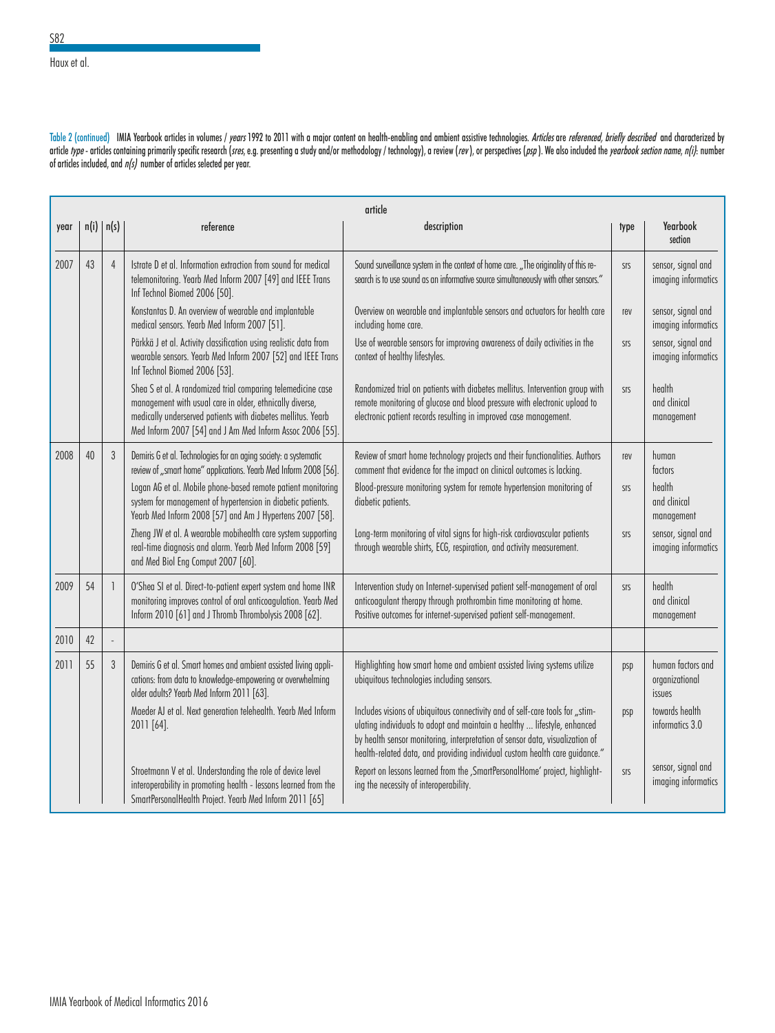Haux et al.

Table 2 (continued) IMIA Yearbook articles in volumes / years 1992 to 2011 with a major content on health-enabling and ambient assistive technologies. Articles are referenced, briefly described and characterized by article *type* - articles containing primarily specific research (*sres,* e.g. presenting a study and/or methodology / technology), a review (*rev* ), or perspectives (*psp* ). We also included the *yearbook section name,* of articles included, and  $n/s$  number of articles selected per year.

|      | article |                |                                                                                                                                                                                                                                                       |                                                                                                                                                                                                                                                                                                                          |            |                                               |  |
|------|---------|----------------|-------------------------------------------------------------------------------------------------------------------------------------------------------------------------------------------------------------------------------------------------------|--------------------------------------------------------------------------------------------------------------------------------------------------------------------------------------------------------------------------------------------------------------------------------------------------------------------------|------------|-----------------------------------------------|--|
| year |         | n(i)   n(s)    | reference                                                                                                                                                                                                                                             | description                                                                                                                                                                                                                                                                                                              | type       | Yearbook<br>section                           |  |
| 2007 | 43      | $\overline{4}$ | Istrate D et al. Information extraction from sound for medical<br>telemonitoring. Yearb Med Inform 2007 [49] and IEEE Trans<br>Inf Technol Biomed 2006 [50].                                                                                          | Sound surveillance system in the context of home care. "The originality of this re-<br>search is to use sound as an informative source simultaneously with other sensors."                                                                                                                                               | SIS        | sensor, signal and<br>imaging informatics     |  |
|      |         |                | Konstantas D. An overview of wearable and implantable<br>medical sensors. Yearb Med Inform 2007 [51].                                                                                                                                                 | Overview on wearable and implantable sensors and actuators for health care<br>including home care.                                                                                                                                                                                                                       | rev        | sensor, signal and<br>imaging informatics     |  |
|      |         |                | Pärkkä J et al. Activity classification using realistic data from<br>wearable sensors. Yearb Med Inform 2007 [52] and IEEE Trans<br>Inf Technol Biomed 2006 [53].                                                                                     | Use of wearable sensors for improving awareness of daily activities in the<br>context of healthy lifestyles.                                                                                                                                                                                                             | SIS        | sensor, signal and<br>imaging informatics     |  |
|      |         |                | Shea S et al. A randomized trial comparing telemedicine case<br>management with usual care in older, ethnically diverse,<br>medically underserved patients with diabetes mellitus. Yearb<br>Med Inform 2007 [54] and J Am Med Inform Assoc 2006 [55]. | Randomized trial on patients with diabetes mellitus. Intervention group with<br>remote monitoring of glucose and blood pressure with electronic upload to<br>electronic patient records resulting in improved case management.                                                                                           | <b>SIS</b> | health<br>and clinical<br>management          |  |
| 2008 | 40      | $\mathfrak{z}$ | Demiris G et al. Technologies for an aging society: a systematic<br>review of "smart home" applications. Yearb Med Inform 2008 [56].                                                                                                                  | Review of smart home technology projects and their functionalities. Authors<br>comment that evidence for the impact on clinical outcomes is lacking.                                                                                                                                                                     | rev        | human<br>factors                              |  |
|      |         |                | Logan AG et al. Mobile phone-based remote patient monitoring<br>system for management of hypertension in diabetic patients.<br>Yearb Med Inform 2008 [57] and Am J Hypertens 2007 [58].                                                               | Blood-pressure monitoring system for remote hypertension monitoring of<br>diabetic patients.                                                                                                                                                                                                                             | <b>SIS</b> | health<br>and clinical<br>management          |  |
|      |         |                | Zheng JW et al. A wearable mobihealth care system supporting<br>real-time diagnosis and alarm. Yearb Med Inform 2008 [59]<br>and Med Biol Eng Comput 2007 [60].                                                                                       | Long-term monitoring of vital signs for high-risk cardiovascular patients<br>through wearable shirts, ECG, respiration, and activity measurement.                                                                                                                                                                        | <b>SIS</b> | sensor, signal and<br>imaging informatics     |  |
| 2009 | 54      | $\mathbf{1}$   | O'Shea SI et al. Direct-to-patient expert system and home INR<br>monitoring improves control of oral anticoagulation. Yearb Med<br>Inform 2010 [61] and J Thromb Thrombolysis 2008 [62].                                                              | Intervention study on Internet-supervised patient self-management of oral<br>anticoagulant therapy through prothrombin time monitoring at home.<br>Positive outcomes for internet-supervised patient self-management.                                                                                                    | SIS        | health<br>and clinical<br>management          |  |
| 2010 | 42      |                |                                                                                                                                                                                                                                                       |                                                                                                                                                                                                                                                                                                                          |            |                                               |  |
| 2011 | 55      | $\mathfrak{z}$ | Demiris G et al. Smart homes and ambient assisted living appli-<br>cations: from data to knowledge-empowering or overwhelming<br>older adults? Yearb Med Inform 2011 [63].                                                                            | Highlighting how smart home and ambient assisted living systems utilize<br>ubiquitous technologies including sensors.                                                                                                                                                                                                    | psp        | human factors and<br>organizational<br>issues |  |
|      |         |                | Maeder AJ et al. Next generation telehealth. Yearb Med Inform<br>2011 [64].                                                                                                                                                                           | Includes visions of ubiquitous connectivity and of self-care tools for "stim-<br>ulating individuals to adopt and maintain a healthy  lifestyle, enhanced<br>by health sensor monitoring, interpretation of sensor data, visualization of<br>health-related data, and providing individual custom health care guidance." | psp        | towards health<br>informatics 3.0             |  |
|      |         |                | Stroetmann V et al. Understanding the role of device level<br>interoperability in promoting health - lessons learned from the<br>SmartPersonalHealth Project. Yearb Med Inform 2011 [65]                                                              | Report on lessons learned from the , SmartPersonalHome' project, highlight-<br>ing the necessity of interoperability.                                                                                                                                                                                                    | <b>SIS</b> | sensor, signal and<br>imaging informatics     |  |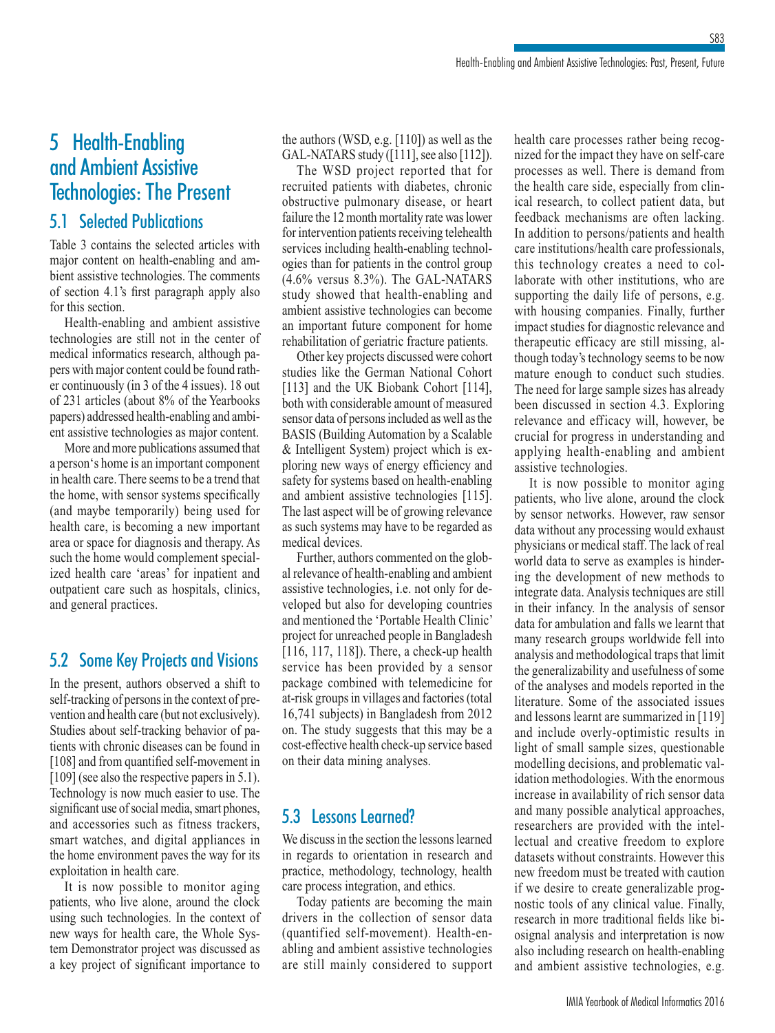## 5 Health-Enabling and Ambient Assistive Technologies: The Present

### 5.1 Selected Publications

Table 3 contains the selected articles with major content on health-enabling and ambient assistive technologies. The comments of section 4.1's first paragraph apply also for this section.

Health-enabling and ambient assistive technologies are still not in the center of medical informatics research, although papers with major content could be found rather continuously (in 3 of the 4 issues). 18 out of 231 articles (about 8% of the Yearbooks papers) addressed health-enabling and ambient assistive technologies as major content.

More and more publications assumed that a person's home is an important component in health care. There seems to be a trend that the home, with sensor systems specifically (and maybe temporarily) being used for health care, is becoming a new important area or space for diagnosis and therapy. As such the home would complement specialized health care 'areas' for inpatient and outpatient care such as hospitals, clinics, and general practices.

### 5.2 Some Key Projects and Visions

In the present, authors observed a shift to self-tracking of persons in the context of prevention and health care (but not exclusively). Studies about self-tracking behavior of patients with chronic diseases can be found in [108] and from quantified self-movement in [109] (see also the respective papers in 5.1). Technology is now much easier to use. The significant use of social media, smart phones, and accessories such as fitness trackers, smart watches, and digital appliances in the home environment paves the way for its exploitation in health care.

It is now possible to monitor aging patients, who live alone, around the clock using such technologies. In the context of new ways for health care, the Whole System Demonstrator project was discussed as a key project of significant importance to

the authors (WSD, e.g. [110]) as well as the GAL-NATARS study ([111], see also [112]).

The WSD project reported that for recruited patients with diabetes, chronic obstructive pulmonary disease, or heart failure the 12 month mortality rate was lower for intervention patients receiving telehealth services including health-enabling technologies than for patients in the control group (4.6% versus 8.3%). The GAL-NATARS study showed that health-enabling and ambient assistive technologies can become an important future component for home rehabilitation of geriatric fracture patients.

Other key projects discussed were cohort studies like the German National Cohort [113] and the UK Biobank Cohort [114], both with considerable amount of measured sensor data of persons included as well as the BASIS (Building Automation by a Scalable & Intelligent System) project which is exploring new ways of energy efficiency and safety for systems based on health-enabling and ambient assistive technologies [115]. The last aspect will be of growing relevance as such systems may have to be regarded as medical devices.

Further, authors commented on the global relevance of health-enabling and ambient assistive technologies, i.e. not only for developed but also for developing countries and mentioned the 'Portable Health Clinic' project for unreached people in Bangladesh [116, 117, 118]). There, a check-up health service has been provided by a sensor package combined with telemedicine for at-risk groups in villages and factories (total 16,741 subjects) in Bangladesh from 2012 on. The study suggests that this may be a cost-effective health check-up service based on their data mining analyses.

### 5.3 Lessons Learned?

We discuss in the section the lessons learned in regards to orientation in research and practice, methodology, technology, health care process integration, and ethics.

Today patients are becoming the main drivers in the collection of sensor data (quantified self-movement). Health-enabling and ambient assistive technologies are still mainly considered to support health care processes rather being recognized for the impact they have on self-care processes as well. There is demand from the health care side, especially from clinical research, to collect patient data, but feedback mechanisms are often lacking. In addition to persons/patients and health care institutions/health care professionals, this technology creates a need to collaborate with other institutions, who are supporting the daily life of persons, e.g. with housing companies. Finally, further impact studies for diagnostic relevance and therapeutic efficacy are still missing, although today's technology seems to be now mature enough to conduct such studies. The need for large sample sizes has already been discussed in section 4.3. Exploring relevance and efficacy will, however, be crucial for progress in understanding and applying health-enabling and ambient assistive technologies.

It is now possible to monitor aging patients, who live alone, around the clock by sensor networks. However, raw sensor data without any processing would exhaust physicians or medical staff. The lack of real world data to serve as examples is hindering the development of new methods to integrate data. Analysis techniques are still in their infancy. In the analysis of sensor data for ambulation and falls we learnt that many research groups worldwide fell into analysis and methodological traps that limit the generalizability and usefulness of some of the analyses and models reported in the literature. Some of the associated issues and lessons learnt are summarized in [119] and include overly-optimistic results in light of small sample sizes, questionable modelling decisions, and problematic validation methodologies. With the enormous increase in availability of rich sensor data and many possible analytical approaches, researchers are provided with the intellectual and creative freedom to explore datasets without constraints. However this new freedom must be treated with caution if we desire to create generalizable prognostic tools of any clinical value. Finally, research in more traditional fields like biosignal analysis and interpretation is now also including research on health-enabling and ambient assistive technologies, e.g.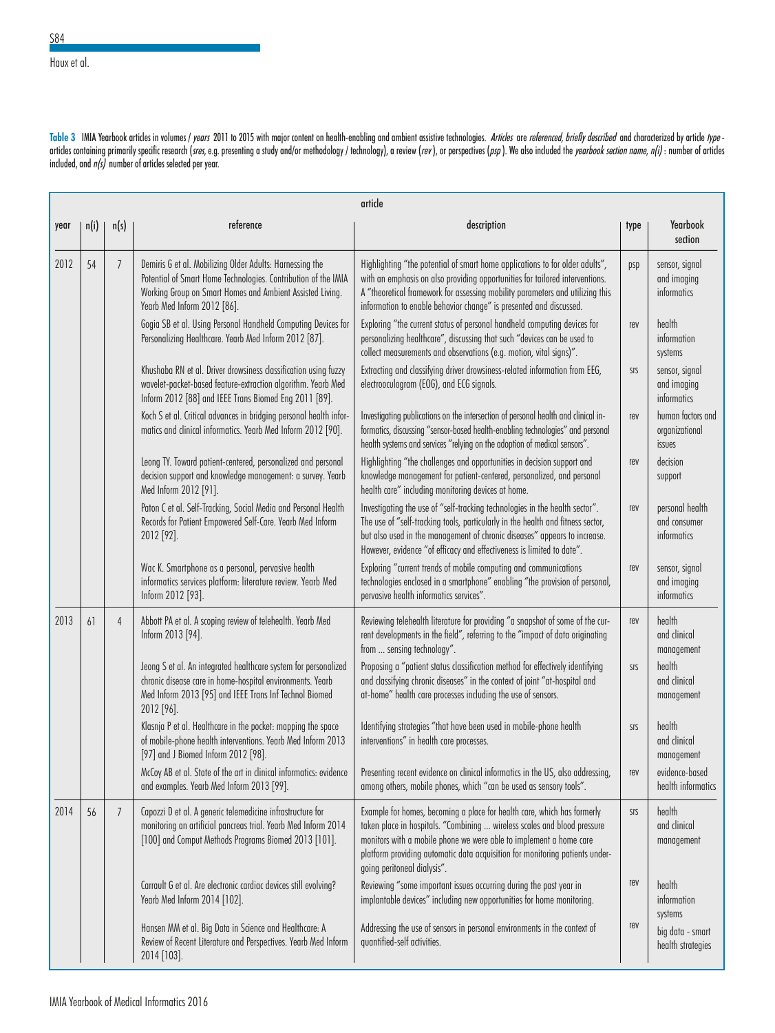Haux et al.

Table 3 IMIA Yearbook articles in volumes / years 2011 to 2015 with major content on health-enabling and ambient assistive technologies. Articles are referenced, briefly described and characterized by article type articles containing primarily specific research (sres, e.g. presenting a study and/or methodology / technology), a review (rev), or perspectives (psp). We also included the *yearbook section name, n(i)* : number of article included, and  $n(s)$  number of articles selected per year.

|      | article |                |                                                                                                                                                                                                                        |                                                                                                                                                                                                                                                                                                                                          |      |                                                |
|------|---------|----------------|------------------------------------------------------------------------------------------------------------------------------------------------------------------------------------------------------------------------|------------------------------------------------------------------------------------------------------------------------------------------------------------------------------------------------------------------------------------------------------------------------------------------------------------------------------------------|------|------------------------------------------------|
| year | n(i)    | n(s)           | reference                                                                                                                                                                                                              | description                                                                                                                                                                                                                                                                                                                              | type | Yearbook<br>section                            |
| 2012 | 54      | $\overline{7}$ | Demiris G et al. Mobilizing Older Adults: Harnessing the<br>Potential of Smart Home Technologies. Contribution of the IMIA<br>Working Group on Smart Homes and Ambient Assisted Living.<br>Yearb Med Inform 2012 [86]. | Highlighting "the potential of smart home applications to for older adults",<br>with an emphasis on also providing opportunities for tailored interventions.<br>A "theoretical framework for assessing mobility parameters and utilizing this<br>information to enable behavior change" is presented and discussed.                      | psp  | sensor, signal<br>and imaging<br>informatics   |
|      |         |                | Gogia SB et al. Using Personal Handheld Computing Devices for<br>Personalizing Healthcare. Yearb Med Inform 2012 [87].                                                                                                 | Exploring "the current status of personal handheld computing devices for<br>personalizing healthcare", discussing that such "devices can be used to<br>collect measurements and observations (e.g. motion, vital signs)".                                                                                                                | rev  | health<br>information<br>systems               |
|      |         |                | Khushaba RN et al. Driver drowsiness classification using fuzzy<br>wavelet-packet-based feature-extraction algorithm. Yearb Med<br>Inform 2012 [88] and IEEE Trans Biomed Eng 2011 [89].                               | Extracting and classifying driver drowsiness-related information from EEG,<br>electrooculogram (EOG), and ECG signals.                                                                                                                                                                                                                   | SIS  | sensor, signal<br>and imaging<br>informatics   |
|      |         |                | Koch S et al. Critical advances in bridging personal health infor-<br>matics and clinical informatics. Yearb Med Inform 2012 [90].                                                                                     | Investigating publications on the intersection of personal health and clinical in-<br>formatics, discussing "sensor-based health-enabling technologies" and personal<br>health systems and services "relying on the adoption of medical sensors".                                                                                        | rev  | human factors and<br>organizational<br>issues  |
|      |         |                | Leong TY. Toward patient-centered, personalized and personal<br>decision support and knowledge management: a survey. Yearb<br>Med Inform 2012 [91].                                                                    | Highlighting "the challenges and opportunities in decision support and<br>knowledge management for patient-centered, personalized, and personal<br>health care" including monitoring devices at home.                                                                                                                                    | rev  | decision<br>support                            |
|      |         |                | Paton C et al. Self-Tracking, Social Media and Personal Health<br>Records for Patient Empowered Self-Care. Yearb Med Inform<br>2012 [92].                                                                              | Investigating the use of "self-tracking technologies in the health sector".<br>The use of "self-tracking tools, particularly in the health and fitness sector,<br>but also used in the management of chronic diseases" appears to increase.<br>However, evidence "of efficacy and effectiveness is limited to date".                     | rev  | personal health<br>and consumer<br>informatics |
|      |         |                | Wac K. Smartphone as a personal, pervasive health<br>informatics services platform: literature review. Yearb Med<br>Inform 2012 [93].                                                                                  | Exploring "current trends of mobile computing and communications<br>technologies enclosed in a smartphone" enabling "the provision of personal,<br>pervasive health informatics services".                                                                                                                                               | rev  | sensor, signal<br>and imaging<br>informatics   |
| 2013 | 61      | $\overline{4}$ | Abbott PA et al. A scoping review of telehealth. Yearb Med<br>Inform 2013 [94].                                                                                                                                        | Reviewing telehealth literature for providing "a snapshot of some of the cur-<br>rent developments in the field", referring to the "impact of data originating<br>from  sensing technology".                                                                                                                                             | rev  | health<br>and clinical<br>management           |
|      |         |                | Jeong S et al. An integrated healthcare system for personalized<br>chronic disease care in home-hospital environments. Yearb<br>Med Inform 2013 [95] and IEEE Trans Inf Technol Biomed<br>2012 [96].                   | Proposing a "patient status classification method for effectively identifying<br>and classifying chronic diseases" in the context of joint "at-hospital and<br>at-home" health care processes including the use of sensors.                                                                                                              | SIS  | health<br>and clinical<br>management           |
|      |         |                | Klasnja P et al. Healthcare in the pocket: mapping the space<br>of mobile-phone health interventions. Yearb Med Inform 2013<br>[97] and J Biomed Inform 2012 [98].                                                     | Identifying strategies "that have been used in mobile-phone health<br>interventions" in health care processes.                                                                                                                                                                                                                           | SIS  | health<br>and clinical<br>management           |
|      |         |                | McCoy AB et al. State of the art in clinical informatics: evidence<br>and examples. Yearb Med Inform 2013 [99].                                                                                                        | Presenting recent evidence on clinical informatics in the US, also addressing,<br>among others, mobile phones, which "can be used as sensory tools".                                                                                                                                                                                     | rev  | evidence-based<br>health informatics           |
| 2014 | 56      | $\overline{7}$ | Capozzi D et al. A generic telemedicine infrastructure for<br>monitoring an artificial pancreas trial. Yearb Med Inform 2014<br>[100] and Comput Methods Programs Biomed 2013 [101].                                   | Example for homes, becoming a place for health care, which has formerly<br>taken place in hospitals. "Combining  wireless scales and blood pressure<br>monitors with a mobile phone we were able to implement a home care<br>platform providing automatic data acquisition for monitoring patients under-<br>going peritoneal dialysis". | SIS  | health<br>and clinical<br>management           |
|      |         |                | Carrault G et al. Are electronic cardiac devices still evolving?<br>Yearb Med Inform 2014 [102].                                                                                                                       | Reviewing "some important issues occurring during the past year in<br>implantable devices" including new opportunities for home monitoring.                                                                                                                                                                                              | rev  | health<br>information<br>systems               |
|      |         |                | Hansen MM et al. Big Data in Science and Healthcare: A<br>Review of Recent Literature and Perspectives. Yearb Med Inform<br>2014 [103].                                                                                | Addressing the use of sensors in personal environments in the context of<br>quantified-self activities.                                                                                                                                                                                                                                  | rev  | big data - smart<br>health strategies          |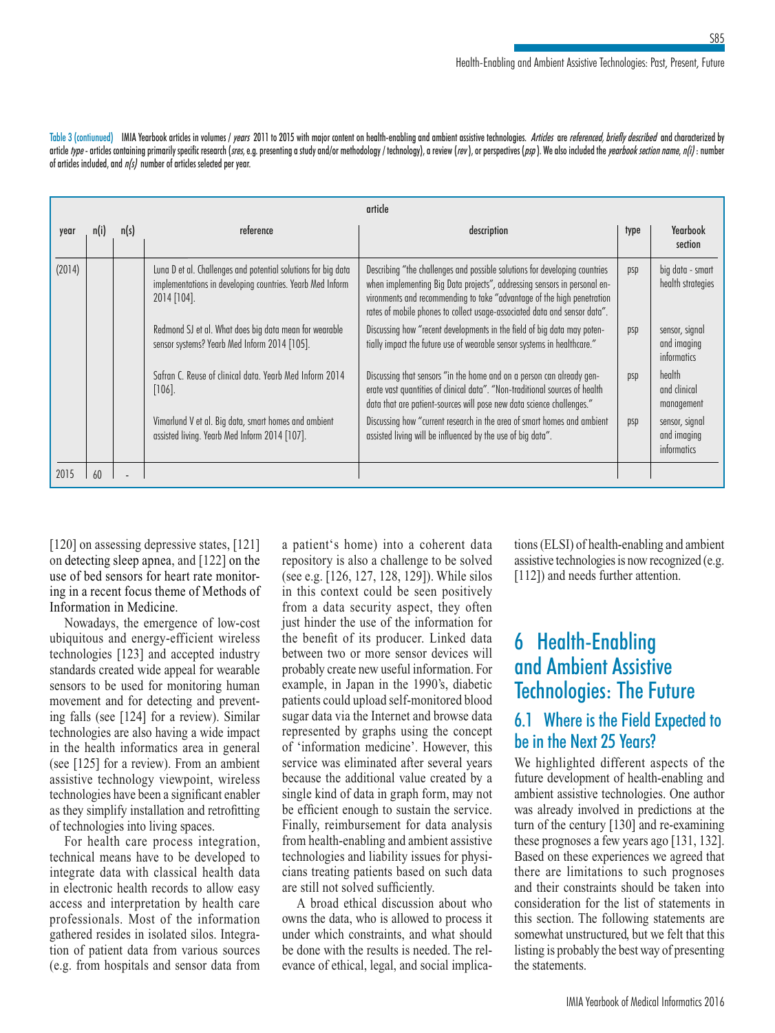Table 3 (contiunued) IMIA Yearbook articles in volumes / years 2011 to 2015 with major content on health-enabling and ambient assistive technologies. Articles are referenced, briefly described and characterized by article type - articles containing primarily specific research (sres, e.g. presenting a study and/or methodology / technology), a review (rev), or perspectives (psp). We also included the yearbook section name, n(i): numbe of articles included, and  $n/s$  number of articles selected per year.

|        | article |      |                                                                                                                                           |                                                                                                                                                                                                                                                                                                               |      |                                              |  |
|--------|---------|------|-------------------------------------------------------------------------------------------------------------------------------------------|---------------------------------------------------------------------------------------------------------------------------------------------------------------------------------------------------------------------------------------------------------------------------------------------------------------|------|----------------------------------------------|--|
| year   | n(i)    | n(s) | reference                                                                                                                                 | description                                                                                                                                                                                                                                                                                                   | type | Yearbook<br>section                          |  |
| (2014) |         |      | Luna D et al. Challenges and potential solutions for big data<br>implementations in developing countries. Yearb Med Inform<br>2014 [104]. | Describing "the challenges and possible solutions for developing countries<br>when implementing Big Data projects", addressing sensors in personal en-<br>vironments and recommending to take "advantage of the high penetration<br>rates of mobile phones to collect usage-associated data and sensor data". | psp  | big data - smart<br>health strategies        |  |
|        |         |      | Redmond SJ et al. What does big data mean for wearable<br>sensor systems? Yearb Med Inform 2014 [105].                                    | Discussing how "recent developments in the field of big data may poten-<br>tially impact the future use of wearable sensor systems in healthcare."                                                                                                                                                            | psp  | sensor, signal<br>and imaging<br>informatics |  |
|        |         |      | Safran C. Reuse of clinical data. Yearb Med Inform 2014<br>[106].                                                                         | Discussing that sensors "in the home and on a person can already gen-<br>erate vast quantities of clinical data". "Non-traditional sources of health<br>data that are patient-sources will pose new data science challenges."                                                                                 | psp  | health<br>and clinical<br>management         |  |
|        |         |      | Vimarlund V et al. Big data, smart homes and ambient<br>assisted living. Yearb Med Inform 2014 [107].                                     | Discussing how "current research in the area of smart homes and ambient<br>assisted living will be influenced by the use of big data".                                                                                                                                                                        | psp  | sensor, signal<br>and imaging<br>informatics |  |
| 2015   | 60      |      |                                                                                                                                           |                                                                                                                                                                                                                                                                                                               |      |                                              |  |

[120] on assessing depressive states, [121] on detecting sleep apnea, and [122] on the use of bed sensors for heart rate monitoring in a recent focus theme of Methods of Information in Medicine.

Nowadays, the emergence of low-cost ubiquitous and energy-efficient wireless technologies [123] and accepted industry standards created wide appeal for wearable sensors to be used for monitoring human movement and for detecting and preventing falls (see [124] for a review). Similar technologies are also having a wide impact in the health informatics area in general (see [125] for a review). From an ambient assistive technology viewpoint, wireless technologies have been a significant enabler as they simplify installation and retrofitting of technologies into living spaces.

For health care process integration, technical means have to be developed to integrate data with classical health data in electronic health records to allow easy access and interpretation by health care professionals. Most of the information gathered resides in isolated silos. Integration of patient data from various sources (e.g. from hospitals and sensor data from a patient's home) into a coherent data repository is also a challenge to be solved (see e.g. [126, 127, 128, 129]). While silos in this context could be seen positively from a data security aspect, they often just hinder the use of the information for the benefit of its producer. Linked data between two or more sensor devices will probably create new useful information. For example, in Japan in the 1990's, diabetic patients could upload self-monitored blood sugar data via the Internet and browse data represented by graphs using the concept of 'information medicine'. However, this service was eliminated after several years because the additional value created by a single kind of data in graph form, may not be efficient enough to sustain the service. Finally, reimbursement for data analysis from health-enabling and ambient assistive technologies and liability issues for physicians treating patients based on such data are still not solved sufficiently.

A broad ethical discussion about who owns the data, who is allowed to process it under which constraints, and what should be done with the results is needed. The relevance of ethical, legal, and social implications (ELSI) of health-enabling and ambient assistive technologies is now recognized (e.g. [112]) and needs further attention.

## 6 Health-Enabling and Ambient Assistive Technologies: The Future

## 6.1 Where is the Field Expected to be in the Next 25 Years?

We highlighted different aspects of the future development of health-enabling and ambient assistive technologies. One author was already involved in predictions at the turn of the century [130] and re-examining these prognoses a few years ago [131, 132]. Based on these experiences we agreed that there are limitations to such prognoses and their constraints should be taken into consideration for the list of statements in this section. The following statements are somewhat unstructured, but we felt that this listing is probably the best way of presenting the statements.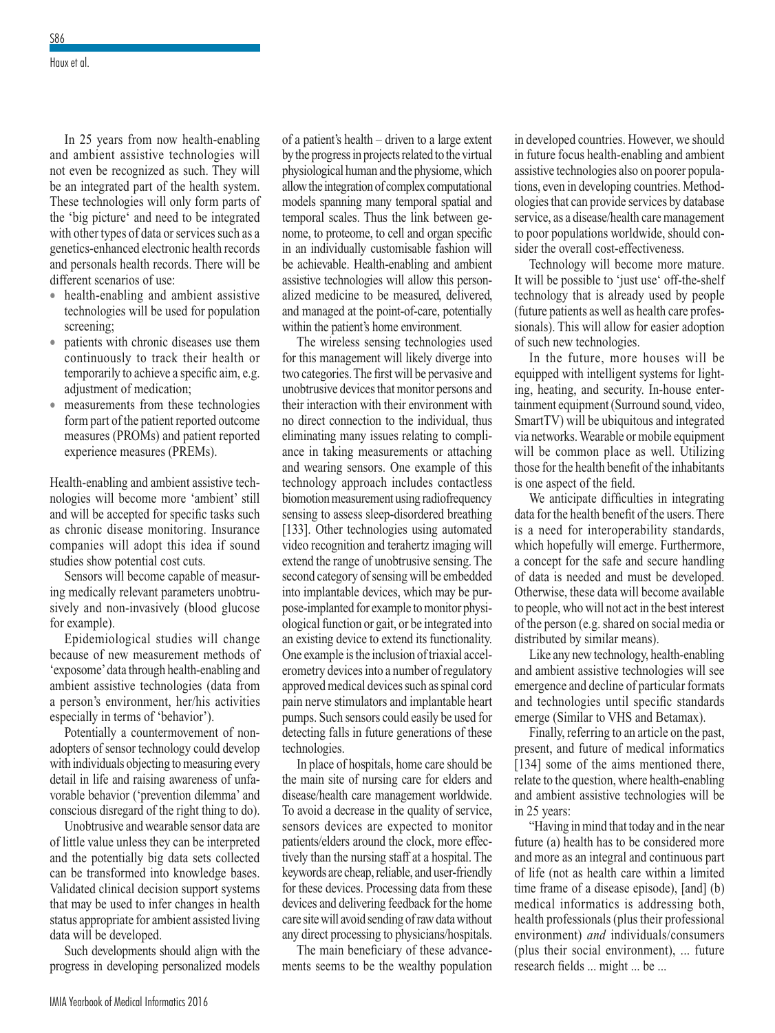Haux et al.

In 25 years from now health-enabling and ambient assistive technologies will not even be recognized as such. They will be an integrated part of the health system. These technologies will only form parts of the 'big picture' and need to be integrated with other types of data or services such as a genetics-enhanced electronic health records and personals health records. There will be different scenarios of use:

- health-enabling and ambient assistive technologies will be used for population screening;
- patients with chronic diseases use them continuously to track their health or temporarily to achieve a specific aim, e.g. adjustment of medication;
- measurements from these technologies form part of the patient reported outcome measures (PROMs) and patient reported experience measures (PREMs).

Health-enabling and ambient assistive technologies will become more 'ambient' still and will be accepted for specific tasks such as chronic disease monitoring. Insurance companies will adopt this idea if sound studies show potential cost cuts.

Sensors will become capable of measuring medically relevant parameters unobtrusively and non-invasively (blood glucose for example).

Epidemiological studies will change because of new measurement methods of 'exposome' data through health-enabling and ambient assistive technologies (data from a person's environment, her/his activities especially in terms of 'behavior').

Potentially a countermovement of nonadopters of sensor technology could develop with individuals objecting to measuring every detail in life and raising awareness of unfavorable behavior ('prevention dilemma' and conscious disregard of the right thing to do).

Unobtrusive and wearable sensor data are of little value unless they can be interpreted and the potentially big data sets collected can be transformed into knowledge bases. Validated clinical decision support systems that may be used to infer changes in health status appropriate for ambient assisted living data will be developed.

Such developments should align with the progress in developing personalized models of a patient's health – driven to a large extent by the progress in projects related to the virtual physiological human and the physiome, which allow the integration of complex computational models spanning many temporal spatial and temporal scales. Thus the link between genome, to proteome, to cell and organ specific in an individually customisable fashion will be achievable. Health-enabling and ambient assistive technologies will allow this personalized medicine to be measured, delivered, and managed at the point-of-care, potentially within the patient's home environment.

The wireless sensing technologies used for this management will likely diverge into two categories. The first will be pervasive and unobtrusive devices that monitor persons and their interaction with their environment with no direct connection to the individual, thus eliminating many issues relating to compliance in taking measurements or attaching and wearing sensors. One example of this technology approach includes contactless biomotion measurement using radiofrequency sensing to assess sleep-disordered breathing [133]. Other technologies using automated video recognition and terahertz imaging will extend the range of unobtrusive sensing. The second category of sensing will be embedded into implantable devices, which may be purpose-implanted for example to monitor physiological function or gait, or be integrated into an existing device to extend its functionality. One example is the inclusion of triaxial accelerometry devices into a number of regulatory approved medical devices such as spinal cord pain nerve stimulators and implantable heart pumps. Such sensors could easily be used for detecting falls in future generations of these technologies.

In place of hospitals, home care should be the main site of nursing care for elders and disease/health care management worldwide. To avoid a decrease in the quality of service, sensors devices are expected to monitor patients/elders around the clock, more effectively than the nursing staff at a hospital. The keywords are cheap, reliable, and user-friendly for these devices. Processing data from these devices and delivering feedback for the home care site will avoid sending of raw data without any direct processing to physicians/hospitals.

The main beneficiary of these advancements seems to be the wealthy population in developed countries. However, we should in future focus health-enabling and ambient assistive technologies also on poorer populations, even in developing countries. Methodologies that can provide services by database service, as a disease/health care management to poor populations worldwide, should consider the overall cost-effectiveness.

Technology will become more mature. It will be possible to 'just use' off-the-shelf technology that is already used by people (future patients as well as health care professionals). This will allow for easier adoption of such new technologies.

In the future, more houses will be equipped with intelligent systems for lighting, heating, and security. In-house entertainment equipment (Surround sound, video, SmartTV) will be ubiquitous and integrated via networks. Wearable or mobile equipment will be common place as well. Utilizing those for the health benefit of the inhabitants is one aspect of the field.

We anticipate difficulties in integrating data for the health benefit of the users. There is a need for interoperability standards, which hopefully will emerge. Furthermore, a concept for the safe and secure handling of data is needed and must be developed. Otherwise, these data will become available to people, who will not act in the best interest of the person (e.g. shared on social media or distributed by similar means).

Like any new technology, health-enabling and ambient assistive technologies will see emergence and decline of particular formats and technologies until specific standards emerge (Similar to VHS and Betamax).

Finally, referring to an article on the past, present, and future of medical informatics [134] some of the aims mentioned there, relate to the question, where health-enabling and ambient assistive technologies will be in 25 years:

"Having in mind that today and in the near future (a) health has to be considered more and more as an integral and continuous part of life (not as health care within a limited time frame of a disease episode), [and] (b) medical informatics is addressing both, health professionals (plus their professional environment) *and* individuals/consumers (plus their social environment), ... future research fields ... might ... be ...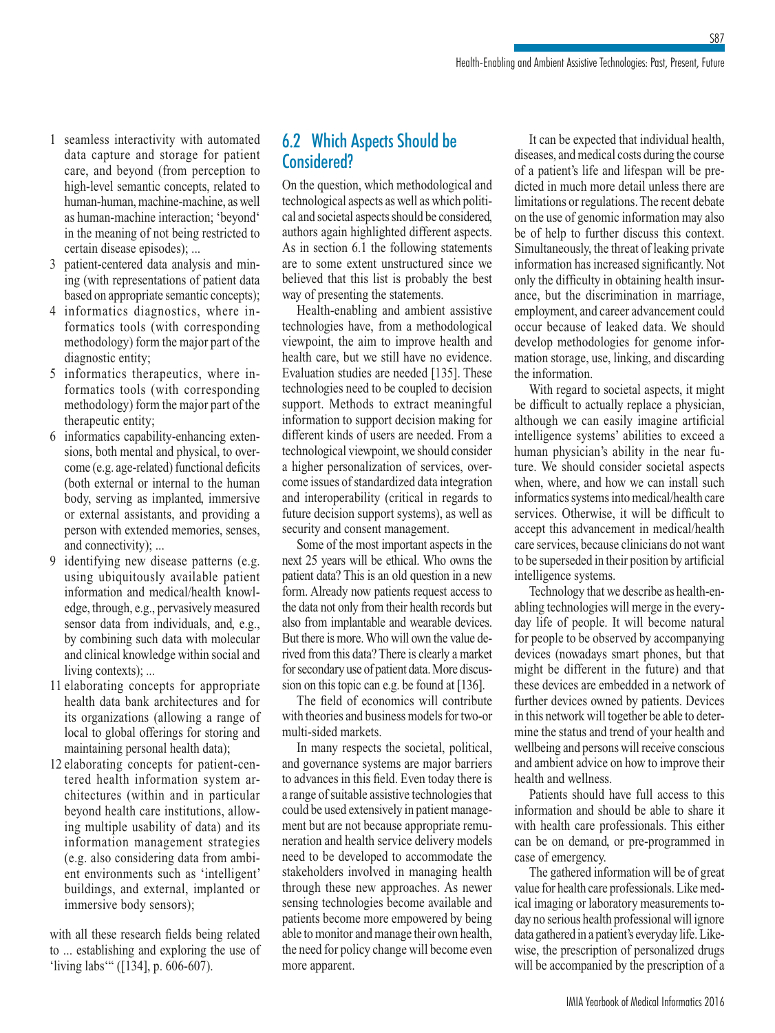- 1 seamless interactivity with automated data capture and storage for patient care, and beyond (from perception to high-level semantic concepts, related to human-human, machine-machine, as well as human-machine interaction; 'beyond' in the meaning of not being restricted to certain disease episodes); ...
- 3 patient-centered data analysis and mining (with representations of patient data based on appropriate semantic concepts);
- 4 informatics diagnostics, where informatics tools (with corresponding methodology) form the major part of the diagnostic entity;
- 5 informatics therapeutics, where informatics tools (with corresponding methodology) form the major part of the therapeutic entity;
- 6 informatics capability-enhancing extensions, both mental and physical, to overcome (e.g. age-related) functional deficits (both external or internal to the human body, serving as implanted, immersive or external assistants, and providing a person with extended memories, senses, and connectivity); ...
- 9 identifying new disease patterns (e.g. using ubiquitously available patient information and medical/health knowledge, through, e.g., pervasively measured sensor data from individuals, and, e.g., by combining such data with molecular and clinical knowledge within social and living contexts); *...*
- 11 elaborating concepts for appropriate health data bank architectures and for its organizations (allowing a range of local to global offerings for storing and maintaining personal health data);
- 12 elaborating concepts for patient-centered health information system architectures (within and in particular beyond health care institutions, allowing multiple usability of data) and its information management strategies (e.g. also considering data from ambient environments such as 'intelligent' buildings, and external, implanted or immersive body sensors);

with all these research fields being related to ... establishing and exploring the use of 'living labs'" ([134], p. 606-607).

### 6.2 Which Aspects Should be Considered?

On the question, which methodological and technological aspects as well as which political and societal aspects should be considered, authors again highlighted different aspects. As in section 6.1 the following statements are to some extent unstructured since we believed that this list is probably the best way of presenting the statements.

Health-enabling and ambient assistive technologies have, from a methodological viewpoint, the aim to improve health and health care, but we still have no evidence. Evaluation studies are needed [135]. These technologies need to be coupled to decision support. Methods to extract meaningful information to support decision making for different kinds of users are needed. From a technological viewpoint, we should consider a higher personalization of services, overcome issues of standardized data integration and interoperability (critical in regards to future decision support systems), as well as security and consent management.

Some of the most important aspects in the next 25 years will be ethical. Who owns the patient data? This is an old question in a new form. Already now patients request access to the data not only from their health records but also from implantable and wearable devices. But there is more. Who will own the value derived from this data? There is clearly a market for secondary use of patient data. More discussion on this topic can e.g. be found at [136].

The field of economics will contribute with theories and business models for two-or multi-sided markets.

In many respects the societal, political, and governance systems are major barriers to advances in this field. Even today there is a range of suitable assistive technologies that could be used extensively in patient management but are not because appropriate remuneration and health service delivery models need to be developed to accommodate the stakeholders involved in managing health through these new approaches. As newer sensing technologies become available and patients become more empowered by being able to monitor and manage their own health, the need for policy change will become even more apparent.

It can be expected that individual health, diseases, and medical costs during the course of a patient's life and lifespan will be predicted in much more detail unless there are limitations or regulations. The recent debate on the use of genomic information may also be of help to further discuss this context. Simultaneously, the threat of leaking private information has increased significantly. Not only the difficulty in obtaining health insurance, but the discrimination in marriage, employment, and career advancement could occur because of leaked data. We should develop methodologies for genome information storage, use, linking, and discarding the information.

With regard to societal aspects, it might be difficult to actually replace a physician, although we can easily imagine artificial intelligence systems' abilities to exceed a human physician's ability in the near future. We should consider societal aspects when, where, and how we can install such informatics systems into medical/health care services. Otherwise, it will be difficult to accept this advancement in medical/health care services, because clinicians do not want to be superseded in their position by artificial intelligence systems.

Technology that we describe as health-enabling technologies will merge in the everyday life of people. It will become natural for people to be observed by accompanying devices (nowadays smart phones, but that might be different in the future) and that these devices are embedded in a network of further devices owned by patients. Devices in this network will together be able to determine the status and trend of your health and wellbeing and persons will receive conscious and ambient advice on how to improve their health and wellness.

Patients should have full access to this information and should be able to share it with health care professionals. This either can be on demand, or pre-programmed in case of emergency.

The gathered information will be of great value for health care professionals. Like medical imaging or laboratory measurements today no serious health professional will ignore data gathered in a patient's everyday life. Likewise, the prescription of personalized drugs will be accompanied by the prescription of a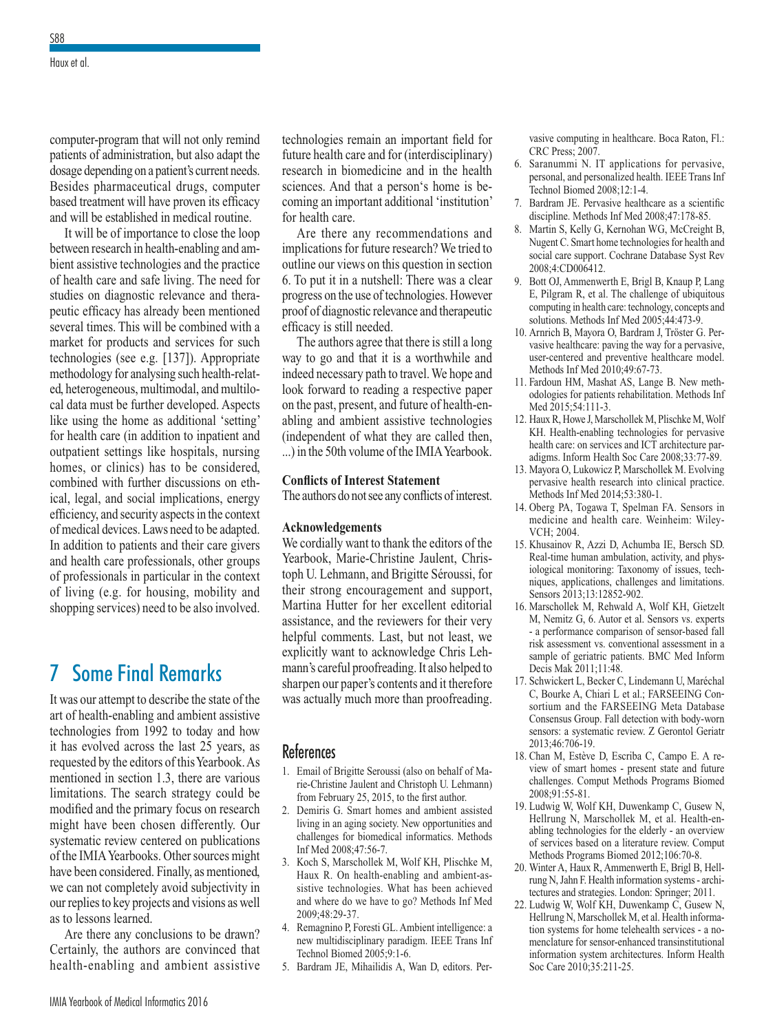computer-program that will not only remind patients of administration, but also adapt the dosage depending on a patient's current needs. Besides pharmaceutical drugs, computer based treatment will have proven its efficacy and will be established in medical routine.

It will be of importance to close the loop between research in health-enabling and ambient assistive technologies and the practice of health care and safe living. The need for studies on diagnostic relevance and therapeutic efficacy has already been mentioned several times. This will be combined with a market for products and services for such technologies (see e.g. [137]). Appropriate methodology for analysing such health-related, heterogeneous, multimodal, and multilocal data must be further developed. Aspects like using the home as additional 'setting' for health care (in addition to inpatient and outpatient settings like hospitals, nursing homes, or clinics) has to be considered, combined with further discussions on ethical, legal, and social implications, energy efficiency, and security aspects in the context of medical devices. Laws need to be adapted. In addition to patients and their care givers and health care professionals, other groups of professionals in particular in the context of living (e.g. for housing, mobility and shopping services) need to be also involved.

## 7 Some Final Remarks

It was our attempt to describe the state of the art of health-enabling and ambient assistive technologies from 1992 to today and how it has evolved across the last 25 years, as requested by the editors of this Yearbook. As mentioned in section 1.3, there are various limitations. The search strategy could be modified and the primary focus on research might have been chosen differently. Our systematic review centered on publications of the IMIA Yearbooks. Other sources might have been considered. Finally, as mentioned, we can not completely avoid subjectivity in our replies to key projects and visions as well as to lessons learned.

Are there any conclusions to be drawn? Certainly, the authors are convinced that health-enabling and ambient assistive

technologies remain an important field for future health care and for (interdisciplinary) research in biomedicine and in the health sciences. And that a person's home is becoming an important additional 'institution' for health care.

Are there any recommendations and implications for future research? We tried to outline our views on this question in section 6. To put it in a nutshell: There was a clear progress on the use of technologies. However proof of diagnostic relevance and therapeutic efficacy is still needed.

The authors agree that there is still a long way to go and that it is a worthwhile and indeed necessary path to travel. We hope and look forward to reading a respective paper on the past, present, and future of health-enabling and ambient assistive technologies (independent of what they are called then, ...) in the 50th volume of the IMIA Yearbook.

#### **Conflicts of Interest Statement**

The authors do not see any conflicts of interest.

#### **Acknowledgements**

We cordially want to thank the editors of the Yearbook, Marie-Christine Jaulent, Christoph U. Lehmann, and Brigitte Séroussi, for their strong encouragement and support, Martina Hutter for her excellent editorial assistance, and the reviewers for their very helpful comments. Last, but not least, we explicitly want to acknowledge Chris Lehmann's careful proofreading. It also helped to sharpen our paper's contents and it therefore was actually much more than proofreading.

#### References

- 1. Email of Brigitte Seroussi (also on behalf of Marie-Christine Jaulent and Christoph U. Lehmann) from February 25, 2015, to the first author.
- 2. Demiris G. Smart homes and ambient assisted living in an aging society. New opportunities and challenges for biomedical informatics. Methods Inf Med 2008;47:56-7.
- 3. Koch S, Marschollek M, Wolf KH, Plischke M, Haux R. On health-enabling and ambient-assistive technologies. What has been achieved and where do we have to go? Methods Inf Med 2009;48:29-37.
- 4. Remagnino P, Foresti GL. Ambient intelligence: a new multidisciplinary paradigm. IEEE Trans Inf Technol Biomed 2005;9:1-6.
- 5. Bardram JE, Mihailidis A, Wan D, editors. Per-

vasive computing in healthcare. Boca Raton, Fl.: CRC Press; 2007.

- 6. Saranummi N. IT applications for pervasive, personal, and personalized health. IEEE Trans Inf Technol Biomed 2008;12:1-4.
- 7. Bardram JE. Pervasive healthcare as a scientific discipline. Methods Inf Med 2008;47:178-85.
- 8. Martin S, Kelly G, Kernohan WG, McCreight B, Nugent C. Smart home technologies for health and social care support. Cochrane Database Syst Rev 2008;4:CD006412.
- 9. Bott OJ, Ammenwerth E, Brigl B, Knaup P, Lang E, Pilgram R, et al. The challenge of ubiquitous computing in health care: technology, concepts and solutions. Methods Inf Med 2005;44:473-9.
- 10. Arnrich B, Mayora O, Bardram J, Tröster G. Pervasive healthcare: paving the way for a pervasive, user-centered and preventive healthcare model. Methods Inf Med 2010;49:67-73.
- 11. Fardoun HM, Mashat AS, Lange B. New methodologies for patients rehabilitation. Methods Inf Med 2015:54:111-3.
- 12. Haux R, Howe J, Marschollek M, Plischke M, Wolf KH. Health-enabling technologies for pervasive health care: on services and ICT architecture paradigms. Inform Health Soc Care 2008;33:77-89.
- 13. Mayora O, Lukowicz P, Marschollek M. Evolving pervasive health research into clinical practice. Methods Inf Med 2014;53:380-1.
- 14. Oberg PA, Togawa T, Spelman FA. Sensors in medicine and health care. Weinheim: Wiley-VCH; 2004.
- 15. Khusainov R, Azzi D, Achumba IE, Bersch SD. Real-time human ambulation, activity, and physiological monitoring: Taxonomy of issues, techniques, applications, challenges and limitations. Sensors 2013;13:12852-902.
- 16. Marschollek M, Rehwald A, Wolf KH, Gietzelt M, Nemitz G, 6. Autor et al. Sensors vs. experts - a performance comparison of sensor-based fall risk assessment vs. conventional assessment in a sample of geriatric patients. BMC Med Inform Decis Mak 2011;11:48.
- 17. Schwickert L, Becker C, Lindemann U, Maréchal C, Bourke A, Chiari L et al.; FARSEEING Consortium and the FARSEEING Meta Database Consensus Group. Fall detection with body-worn sensors: a systematic review. Z Gerontol Geriatr 2013;46:706-19.
- 18. Chan M, Estève D, Escriba C, Campo E. A review of smart homes - present state and future challenges. Comput Methods Programs Biomed 2008;91:55-81.
- 19. Ludwig W, Wolf KH, Duwenkamp C, Gusew N, Hellrung N, Marschollek M, et al. Health-enabling technologies for the elderly - an overview of services based on a literature review. Comput Methods Programs Biomed 2012;106:70-8.
- 20. Winter A, Haux R, Ammenwerth E, Brigl B, Hellrung N, Jahn F. Health information systems - architectures and strategies. London: Springer; 2011.
- 22. Ludwig W, Wolf KH, Duwenkamp C, Gusew N, Hellrung N, Marschollek M, et al. Health information systems for home telehealth services - a nomenclature for sensor-enhanced transinstitutional information system architectures. Inform Health Soc Care 2010;35:211-25.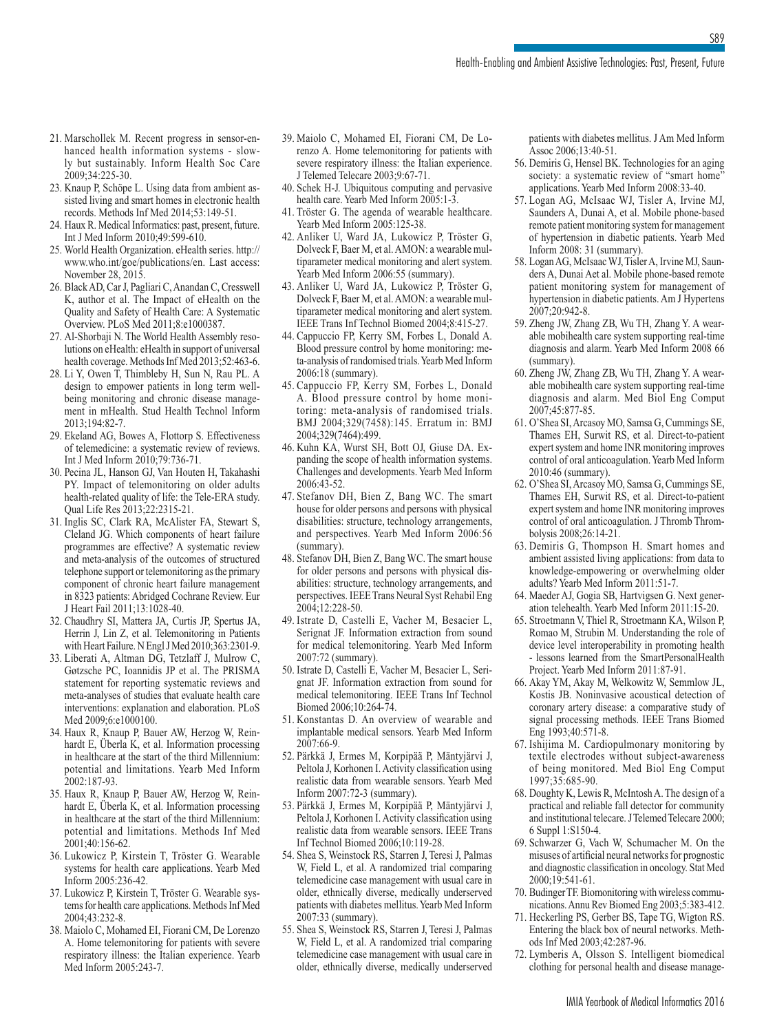- 21. Marschollek M. Recent progress in sensor-enhanced health information systems - slowly but sustainably. Inform Health Soc Care 2009;34:225-30.
- 23. Knaup P, Schöpe L. Using data from ambient assisted living and smart homes in electronic health records. Methods Inf Med 2014;53:149-51.
- 24. Haux R. Medical Informatics: past, present, future. Int J Med Inform 2010;49:599-610.
- 25. World Health Organization. eHealth series. http:// www.who.int/goe/publications/en. Last access: November 28, 2015.
- 26. Black AD, Car J, Pagliari C, Anandan C, Cresswell K, author et al. The Impact of eHealth on the Quality and Safety of Health Care: A Systematic Overview. PLoS Med 2011;8:e1000387.
- 27. Al-Shorbaji N. The World Health Assembly resolutions on eHealth: eHealth in support of universal health coverage. Methods Inf Med 2013;52:463-6.
- 28. Li Y, Owen T, Thimbleby H, Sun N, Rau PL. A design to empower patients in long term wellbeing monitoring and chronic disease management in mHealth. Stud Health Technol Inform 2013;194:82-7.
- 29. Ekeland AG, Bowes A, Flottorp S. Effectiveness of telemedicine: a systematic review of reviews. Int J Med Inform 2010;79:736-71.
- 30. Pecina JL, Hanson GJ, Van Houten H, Takahashi PY. Impact of telemonitoring on older adults health-related quality of life: the Tele-ERA study. Qual Life Res 2013;22:2315-21.
- 31. Inglis SC, Clark RA, McAlister FA, Stewart S, Cleland JG. Which components of heart failure programmes are effective? A systematic review and meta-analysis of the outcomes of structured telephone support or telemonitoring as the primary component of chronic heart failure management in 8323 patients: Abridged Cochrane Review. Eur J Heart Fail 2011;13:1028-40.
- 32. Chaudhry SI, Mattera JA, Curtis JP, Spertus JA, Herrin J, Lin Z, et al. Telemonitoring in Patients with Heart Failure. N Engl J Med 2010;363:2301-9.
- 33. Liberati A, Altman DG, Tetzlaff J, Mulrow C, Gøtzsche PC, Ioannidis JP et al. The PRISMA statement for reporting systematic reviews and meta-analyses of studies that evaluate health care interventions: explanation and elaboration. PLoS Med 2009;6:e1000100.
- 34. Haux R, Knaup P, Bauer AW, Herzog W, Reinhardt E, Überla K, et al. Information processing in healthcare at the start of the third Millennium: potential and limitations. Yearb Med Inform 2002:187-93.
- 35. Haux R, Knaup P, Bauer AW, Herzog W, Reinhardt E, Überla K, et al. Information processing in healthcare at the start of the third Millennium: potential and limitations. Methods Inf Med 2001;40:156-62.
- 36. Lukowicz P, Kirstein T, Tröster G. Wearable systems for health care applications. Yearb Med Inform 2005:236-42.
- 37. Lukowicz P, Kirstein T, Tröster G. Wearable systems for health care applications. Methods Inf Med 2004;43:232-8.
- 38. Maiolo C, Mohamed EI, Fiorani CM, De Lorenzo A. Home telemonitoring for patients with severe respiratory illness: the Italian experience. Yearb Med Inform 2005:243-7.
- 39. Maiolo C, Mohamed EI, Fiorani CM, De Lorenzo A. Home telemonitoring for patients with severe respiratory illness: the Italian experience. J Telemed Telecare 2003;9:67-71.
- 40. Schek H-J. Ubiquitous computing and pervasive health care. Yearb Med Inform 2005:1-3.
- 41. Tröster G. The agenda of wearable healthcare. Yearb Med Inform 2005:125-38.
- 42. Anliker U, Ward JA, Lukowicz P, Tröster G, Dolveck F, Baer M, et al. AMON: a wearable multiparameter medical monitoring and alert system. Yearb Med Inform 2006:55 (summary).
- 43. Anliker U, Ward JA, Lukowicz P, Tröster G, Dolveck F, Baer M, et al. AMON: a wearable multiparameter medical monitoring and alert system. IEEE Trans Inf Technol Biomed 2004;8:415-27.
- 44. Cappuccio FP, Kerry SM, Forbes L, Donald A. Blood pressure control by home monitoring: meta-analysis of randomised trials. Yearb Med Inform 2006:18 (summary).
- 45. Cappuccio FP, Kerry SM, Forbes L, Donald A. Blood pressure control by home monitoring: meta-analysis of randomised trials. BMJ 2004;329(7458):145. Erratum in: BMJ 2004;329(7464):499.
- 46. Kuhn KA, Wurst SH, Bott OJ, Giuse DA. Expanding the scope of health information systems. Challenges and developments. Yearb Med Inform 2006:43-52.
- 47. Stefanov DH, Bien Z, Bang WC. The smart house for older persons and persons with physical disabilities: structure, technology arrangements, and perspectives. Yearb Med Inform 2006:56 (summary).
- 48. Stefanov DH, Bien Z, Bang WC. The smart house for older persons and persons with physical disabilities: structure, technology arrangements, and perspectives. IEEE Trans Neural Syst Rehabil Eng 2004;12:228-50.
- 49. Istrate D, Castelli E, Vacher M, Besacier L, Serignat JF. Information extraction from sound for medical telemonitoring. Yearb Med Inform 2007:72 (summary).
- 50. Istrate D, Castelli E, Vacher M, Besacier L, Serignat JF. Information extraction from sound for medical telemonitoring. IEEE Trans Inf Technol Biomed 2006;10:264-74.
- 51. Konstantas D. An overview of wearable and implantable medical sensors. Yearb Med Inform 2007:66-9.
- 52. Pärkkä J, Ermes M, Korpipää P, Mäntyjärvi J, Peltola J, Korhonen I. Activity classification using realistic data from wearable sensors. Yearb Med Inform 2007:72-3 (summary).
- 53. Pärkkä J, Ermes M, Korpipää P, Mäntyjärvi J, Peltola J, Korhonen I. Activity classification using realistic data from wearable sensors. IEEE Trans Inf Technol Biomed 2006;10:119-28.
- 54. Shea S, Weinstock RS, Starren J, Teresi J, Palmas W, Field L, et al. A randomized trial comparing telemedicine case management with usual care in older, ethnically diverse, medically underserved patients with diabetes mellitus. Yearb Med Inform 2007:33 (summary).
- 55. Shea S, Weinstock RS, Starren J, Teresi J, Palmas W, Field L, et al. A randomized trial comparing telemedicine case management with usual care in older, ethnically diverse, medically underserved

patients with diabetes mellitus. J Am Med Inform Assoc 2006;13:40-51.

S89

- 56. Demiris G, Hensel BK. Technologies for an aging society: a systematic review of "smart home" applications. Yearb Med Inform 2008:33-40.
- 57. Logan AG, McIsaac WJ, Tisler A, Irvine MJ, Saunders A, Dunai A, et al. Mobile phone-based remote patient monitoring system for management of hypertension in diabetic patients. Yearb Med Inform 2008: 31 (summary).
- 58. Logan AG, McIsaac WJ, Tisler A, Irvine MJ, Saunders A, Dunai Aet al. Mobile phone-based remote patient monitoring system for management of hypertension in diabetic patients. Am J Hypertens 2007;20:942-8.
- 59. Zheng JW, Zhang ZB, Wu TH, Zhang Y. A wearable mobihealth care system supporting real-time diagnosis and alarm. Yearb Med Inform 2008 66 (summary).
- 60. Zheng JW, Zhang ZB, Wu TH, Zhang Y. A wearable mobihealth care system supporting real-time diagnosis and alarm. Med Biol Eng Comput 2007;45:877-85.
- 61. O'Shea SI, Arcasoy MO, Samsa G, Cummings SE, Thames EH, Surwit RS, et al. Direct-to-patient expert system and home INR monitoring improves control of oral anticoagulation. Yearb Med Inform 2010:46 (summary).
- 62. O'Shea SI, Arcasoy MO, Samsa G, Cummings SE, Thames EH, Surwit RS, et al. Direct-to-patient expert system and home INR monitoring improves control of oral anticoagulation. J Thromb Thrombolysis 2008;26:14-21.
- 63. Demiris G, Thompson H. Smart homes and ambient assisted living applications: from data to knowledge-empowering or overwhelming older adults? Yearb Med Inform 2011:51-7.
- 64. Maeder AJ, Gogia SB, Hartvigsen G. Next generation telehealth. Yearb Med Inform 2011:15-20.
- 65. Stroetmann V, Thiel R, Stroetmann KA, Wilson P, Romao M, Strubin M. Understanding the role of device level interoperability in promoting health - lessons learned from the SmartPersonalHealth Project. Yearb Med Inform 2011:87-91.
- 66. Akay YM, Akay M, Welkowitz W, Semmlow JL, Kostis JB. Noninvasive acoustical detection of coronary artery disease: a comparative study of signal processing methods. IEEE Trans Biomed Eng 1993;40:571-8.
- 67. Ishijima M. Cardiopulmonary monitoring by textile electrodes without subject-awareness of being monitored. Med Biol Eng Comput 1997;35:685-90.
- 68. Doughty K, Lewis R, McIntosh A. The design of a practical and reliable fall detector for community and institutional telecare. J Telemed Telecare 2000; 6 Suppl 1:S150-4.
- 69. Schwarzer G, Vach W, Schumacher M. On the misuses of artificial neural networks for prognostic and diagnostic classification in oncology. Stat Med 2000;19:541-61.
- 70. Budinger TF. Biomonitoring with wireless communications. Annu Rev Biomed Eng 2003;5:383-412.
- 71. Heckerling PS, Gerber BS, Tape TG, Wigton RS. Entering the black box of neural networks. Methods Inf Med 2003;42:287-96.
- 72. Lymberis A, Olsson S. Intelligent biomedical clothing for personal health and disease manage-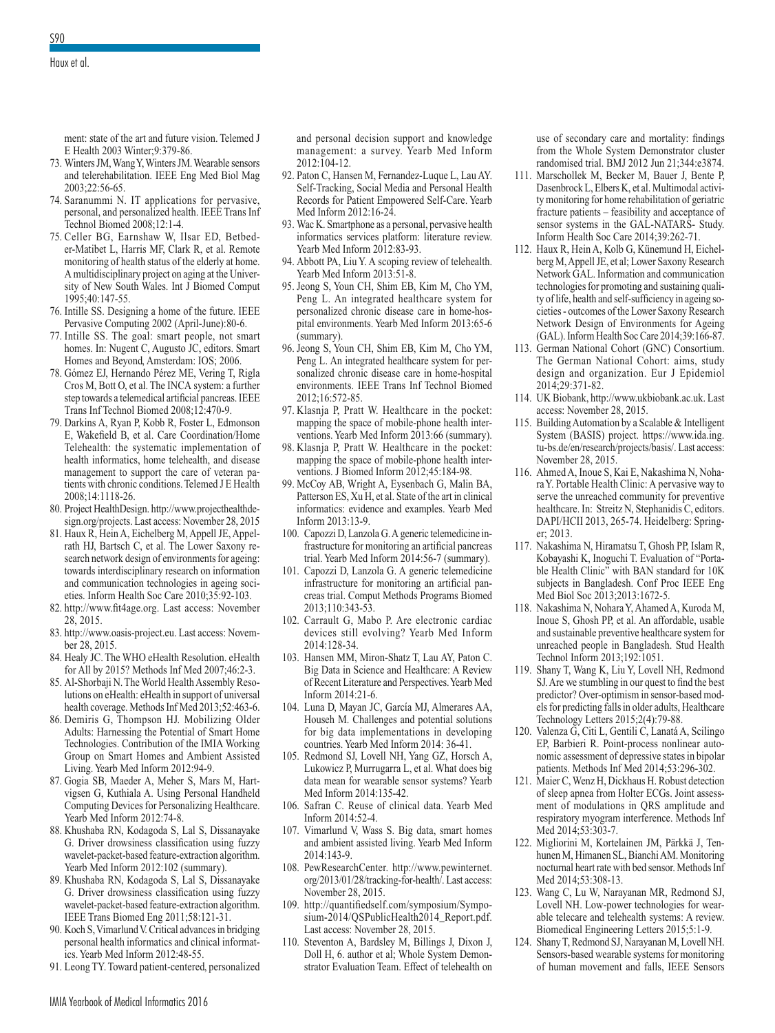ment: state of the art and future vision. Telemed J E Health 2003 Winter;9:379-86.

- 73. Winters JM, Wang Y, Winters JM. Wearable sensors and telerehabilitation. IEEE Eng Med Biol Mag 2003;22:56-65.
- 74. Saranummi N. IT applications for pervasive, personal, and personalized health. IEEE Trans Inf Technol Biomed 2008;12:1-4.
- 75. Celler BG, Earnshaw W, Ilsar ED, Betbeder-Matibet L, Harris MF, Clark R, et al. Remote monitoring of health status of the elderly at home. A multidisciplinary project on aging at the University of New South Wales. Int J Biomed Comput 1995;40:147-55.
- 76. Intille SS. Designing a home of the future. IEEE Pervasive Computing 2002 (April-June):80-6.
- 77. Intille SS. The goal: smart people, not smart homes. In: Nugent C, Augusto JC, editors. Smart Homes and Beyond, Amsterdam: IOS; 2006.
- 78. Gómez EJ, Hernando Pérez ME, Vering T, Rigla Cros M, Bott O, et al. The INCA system: a further step towards a telemedical artificial pancreas. IEEE Trans Inf Technol Biomed 2008;12:470-9.
- 79. Darkins A, Ryan P, Kobb R, Foster L, Edmonson E, Wakefield B, et al. Care Coordination/Home Telehealth: the systematic implementation of health informatics, home telehealth, and disease management to support the care of veteran patients with chronic conditions. Telemed J E Health 2008;14:1118-26.
- 80. Project HealthDesign. http://www.projecthealthdesign.org/projects. Last access: November 28, 2015
- 81. Haux R, Hein A, Eichelberg M, Appell JE, Appelrath HJ, Bartsch C, et al. The Lower Saxony research network design of environments for ageing: towards interdisciplinary research on information and communication technologies in ageing societies. Inform Health Soc Care 2010;35:92-103.
- 82. http://www.fit4age.org. Last access: November 28, 2015.
- 83. http://www.oasis-project.eu. Last access: November 28, 2015.
- 84. Healy JC. The WHO eHealth Resolution. eHealth for All by 2015? Methods Inf Med 2007;46:2-3.
- 85. Al-Shorbaji N. The World Health Assembly Resolutions on eHealth: eHealth in support of universal health coverage. Methods Inf Med 2013;52:463-6.
- 86. Demiris G, Thompson HJ. Mobilizing Older Adults: Harnessing the Potential of Smart Home Technologies. Contribution of the IMIA Working Group on Smart Homes and Ambient Assisted Living. Yearb Med Inform 2012:94-9.
- 87. Gogia SB, Maeder A, Meher S, Mars M, Hartvigsen G, Kuthiala A. Using Personal Handheld Computing Devices for Personalizing Healthcare. Yearb Med Inform 2012:74-8.
- 88. Khushaba RN, Kodagoda S, Lal S, Dissanayake G. Driver drowsiness classification using fuzzy wavelet-packet-based feature-extraction algorithm. Yearb Med Inform 2012:102 (summary).
- 89. Khushaba RN, Kodagoda S, Lal S, Dissanayake G. Driver drowsiness classification using fuzzy wavelet-packet-based feature-extraction algorithm. IEEE Trans Biomed Eng 2011;58:121-31.
- 90. Koch S, Vimarlund V. Critical advances in bridging personal health informatics and clinical informatics. Yearb Med Inform 2012:48-55.
- 91. Leong TY. Toward patient-centered, personalized

and personal decision support and knowledge management: a survey. Yearb Med Inform  $2012 \cdot 104 - 12$ 

- 92. Paton C, Hansen M, Fernandez-Luque L, Lau AY. Self-Tracking, Social Media and Personal Health Records for Patient Empowered Self-Care. Yearb Med Inform 2012:16-24.
- 93. Wac K. Smartphone as a personal, pervasive health informatics services platform: literature review. Yearb Med Inform 2012:83-93.
- 94. Abbott PA, Liu Y. A scoping review of telehealth. Yearb Med Inform 2013:51-8.
- 95. Jeong S, Youn CH, Shim EB, Kim M, Cho YM, Peng L. An integrated healthcare system for personalized chronic disease care in home-hospital environments. Yearb Med Inform 2013:65-6 (summary).
- 96. Jeong S, Youn CH, Shim EB, Kim M, Cho YM, Peng L. An integrated healthcare system for personalized chronic disease care in home-hospital environments. IEEE Trans Inf Technol Biomed 2012;16:572-85.
- 97. Klasnja P, Pratt W. Healthcare in the pocket: mapping the space of mobile-phone health interventions. Yearb Med Inform 2013:66 (summary).
- 98. Klasnja P, Pratt W. Healthcare in the pocket: mapping the space of mobile-phone health interventions. J Biomed Inform 2012;45:184-98.
- 99. McCoy AB, Wright A, Eysenbach G, Malin BA, Patterson ES, Xu H, et al. State of the art in clinical informatics: evidence and examples. Yearb Med Inform 2013:13-9.
- 100. Capozzi D, Lanzola G. A generic telemedicine infrastructure for monitoring an artificial pancreas trial. Yearb Med Inform 2014:56-7 (summary).
- 101. Capozzi D, Lanzola G. A generic telemedicine infrastructure for monitoring an artificial pancreas trial. Comput Methods Programs Biomed 2013;110:343-53.
- 102. Carrault G, Mabo P. Are electronic cardiac devices still evolving? Yearb Med Inform 2014:128-34.
- 103. Hansen MM, Miron-Shatz T, Lau AY, Paton C. Big Data in Science and Healthcare: A Review of Recent Literature and Perspectives. Yearb Med Inform 2014:21-6.
- 104. Luna D, Mayan JC, García MJ, Almerares AA, Househ M. Challenges and potential solutions for big data implementations in developing countries. Yearb Med Inform 2014: 36-41.
- 105. Redmond SJ, Lovell NH, Yang GZ, Horsch A, Lukowicz P, Murrugarra L, et al. What does big data mean for wearable sensor systems? Yearb Med Inform 2014:135-42.
- 106. Safran C. Reuse of clinical data. Yearb Med Inform 2014:52-4.
- 107. Vimarlund V, Wass S. Big data, smart homes and ambient assisted living. Yearb Med Inform 2014:143-9.
- 108. PewResearchCenter. http://www.pewinternet. org/2013/01/28/tracking-for-health/. Last access: November 28, 2015.
- 109. http://quantifiedself.com/symposium/Symposium-2014/QSPublicHealth2014\_Report.pdf. Last access: November 28, 2015.
- 110. Steventon A, Bardsley M, Billings J, Dixon J, Doll H, 6. author et al; Whole System Demonstrator Evaluation Team. Effect of telehealth on

use of secondary care and mortality: findings from the Whole System Demonstrator cluster randomised trial. BMJ 2012 Jun 21;344:e3874.

- 111. Marschollek M, Becker M, Bauer J, Bente P, Dasenbrock L, Elbers K, et al. Multimodal activity monitoring for home rehabilitation of geriatric fracture patients – feasibility and acceptance of sensor systems in the GAL-NATARS- Study. Inform Health Soc Care 2014;39:262-71.
- 112. Haux R, Hein A, Kolb G, Künemund H, Eichelberg M, Appell JE, et al; Lower Saxony Research Network GAL. Information and communication technologies for promoting and sustaining quality of life, health and self-sufficiency in ageing societies - outcomes of the Lower Saxony Research Network Design of Environments for Ageing (GAL). Inform Health Soc Care 2014;39:166-87.
- 113. German National Cohort (GNC) Consortium. The German National Cohort: aims, study design and organization. Eur J Epidemiol 2014;29:371-82.
- 114. UK Biobank, http://www.ukbiobank.ac.uk. Last access: November 28, 2015.
- 115. Building Automation by a Scalable & Intelligent System (BASIS) project. https://www.ida.ing. tu-bs.de/en/research/projects/basis/. Last access: November 28, 2015.
- 116. Ahmed A, Inoue S, Kai E, Nakashima N, Nohara Y. Portable Health Clinic: A pervasive way to serve the unreached community for preventive healthcare. In: Streitz N, Stephanidis C, editors. DAPI/HCII 2013, 265-74. Heidelberg: Springer; 2013.
- 117. Nakashima N, Hiramatsu T, Ghosh PP, Islam R, Kobayashi K, Inoguchi T. Evaluation of "Portable Health Clinic" with BAN standard for 10K subjects in Bangladesh. Conf Proc IEEE Eng Med Biol Soc 2013;2013:1672-5.
- 118. Nakashima N, Nohara Y, Ahamed A, Kuroda M, Inoue S, Ghosh PP, et al. An affordable, usable and sustainable preventive healthcare system for unreached people in Bangladesh. Stud Health Technol Inform 2013;192:1051.
- 119. Shany T, Wang K, Liu Y, Lovell NH, Redmond SJ. Are we stumbling in our quest to find the best predictor? Over-optimism in sensor-based models for predicting falls in older adults, Healthcare Technology Letters 2015;2(4):79-88.
- 120. Valenza G, Citi L, Gentili C, Lanatá A, Scilingo EP, Barbieri R. Point-process nonlinear autonomic assessment of depressive states in bipolar patients. Methods Inf Med 2014;53:296-302.
- 121. Maier C, Wenz H, Dickhaus H. Robust detection of sleep apnea from Holter ECGs. Joint assessment of modulations in QRS amplitude and respiratory myogram interference. Methods Inf Med 2014;53:303-7.
- 122. Migliorini M, Kortelainen JM, Pärkkä J, Tenhunen M, Himanen SL, Bianchi AM. Monitoring nocturnal heart rate with bed sensor. Methods Inf Med 2014;53:308-13.
- 123. Wang C, Lu W, Narayanan MR, Redmond SJ, Lovell NH. Low-power technologies for wearable telecare and telehealth systems: A review. Biomedical Engineering Letters 2015;5:1-9.
- 124. Shany T, Redmond SJ, Narayanan M, Lovell NH. Sensors-based wearable systems for monitoring of human movement and falls, IEEE Sensors